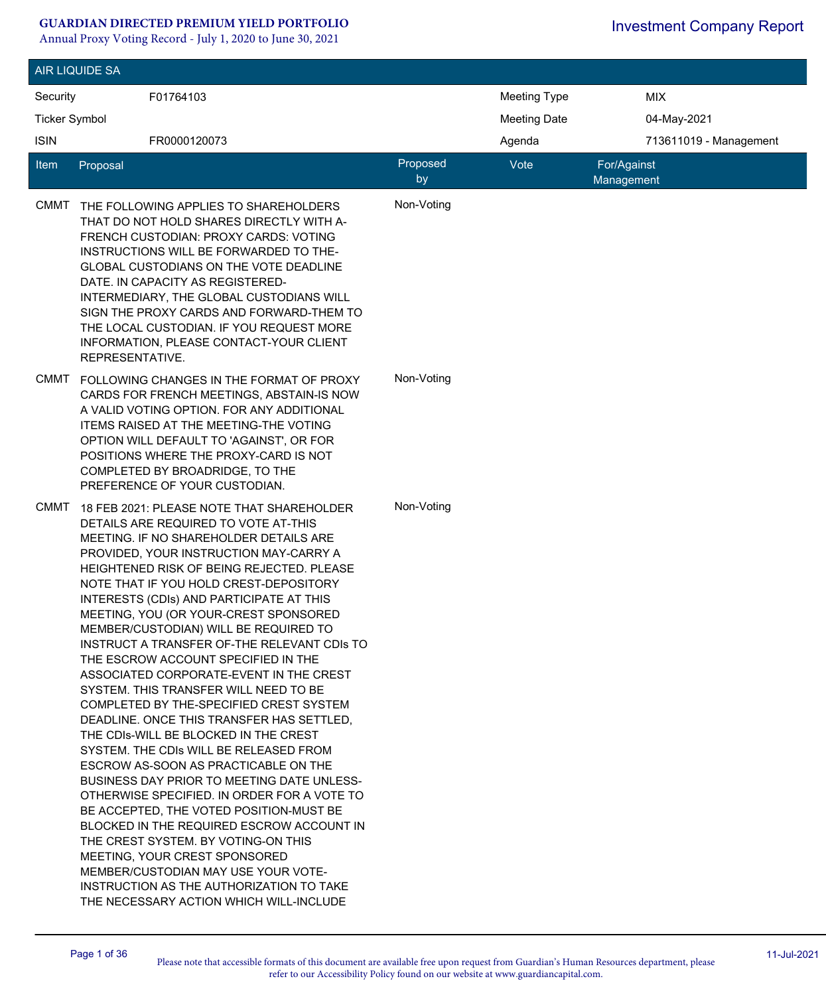#### **GUARDIAN DIRECTED PREMIUM YIELD PORTFOLIO**

Annual Proxy Voting Record - July 1, 2020 to June 30, 2021

|                             | <b>AIR LIQUIDE SA</b>                                                                                                                                                                                                                                                                                                                                                                                                                                                                                                                                                                                                                                                                                                                                                                                                                                                                                                                                                                                                                                                                                                                                                                     |                |                     |                           |  |
|-----------------------------|-------------------------------------------------------------------------------------------------------------------------------------------------------------------------------------------------------------------------------------------------------------------------------------------------------------------------------------------------------------------------------------------------------------------------------------------------------------------------------------------------------------------------------------------------------------------------------------------------------------------------------------------------------------------------------------------------------------------------------------------------------------------------------------------------------------------------------------------------------------------------------------------------------------------------------------------------------------------------------------------------------------------------------------------------------------------------------------------------------------------------------------------------------------------------------------------|----------------|---------------------|---------------------------|--|
| Security                    | F01764103                                                                                                                                                                                                                                                                                                                                                                                                                                                                                                                                                                                                                                                                                                                                                                                                                                                                                                                                                                                                                                                                                                                                                                                 |                | <b>Meeting Type</b> | <b>MIX</b>                |  |
| <b>Ticker Symbol</b>        |                                                                                                                                                                                                                                                                                                                                                                                                                                                                                                                                                                                                                                                                                                                                                                                                                                                                                                                                                                                                                                                                                                                                                                                           |                | <b>Meeting Date</b> | 04-May-2021               |  |
| <b>ISIN</b><br>FR0000120073 |                                                                                                                                                                                                                                                                                                                                                                                                                                                                                                                                                                                                                                                                                                                                                                                                                                                                                                                                                                                                                                                                                                                                                                                           |                |                     | 713611019 - Management    |  |
|                             |                                                                                                                                                                                                                                                                                                                                                                                                                                                                                                                                                                                                                                                                                                                                                                                                                                                                                                                                                                                                                                                                                                                                                                                           |                | Agenda              |                           |  |
| ltem                        | Proposal                                                                                                                                                                                                                                                                                                                                                                                                                                                                                                                                                                                                                                                                                                                                                                                                                                                                                                                                                                                                                                                                                                                                                                                  | Proposed<br>by | Vote                | For/Against<br>Management |  |
| <b>CMMT</b>                 | THE FOLLOWING APPLIES TO SHAREHOLDERS<br>THAT DO NOT HOLD SHARES DIRECTLY WITH A-<br>FRENCH CUSTODIAN: PROXY CARDS: VOTING<br>INSTRUCTIONS WILL BE FORWARDED TO THE-<br><b>GLOBAL CUSTODIANS ON THE VOTE DEADLINE</b><br>DATE. IN CAPACITY AS REGISTERED-<br>INTERMEDIARY, THE GLOBAL CUSTODIANS WILL<br>SIGN THE PROXY CARDS AND FORWARD-THEM TO<br>THE LOCAL CUSTODIAN. IF YOU REQUEST MORE<br>INFORMATION, PLEASE CONTACT-YOUR CLIENT<br>REPRESENTATIVE.                                                                                                                                                                                                                                                                                                                                                                                                                                                                                                                                                                                                                                                                                                                               | Non-Voting     |                     |                           |  |
| <b>CMMT</b>                 | FOLLOWING CHANGES IN THE FORMAT OF PROXY<br>CARDS FOR FRENCH MEETINGS, ABSTAIN-IS NOW<br>A VALID VOTING OPTION. FOR ANY ADDITIONAL<br>ITEMS RAISED AT THE MEETING-THE VOTING<br>OPTION WILL DEFAULT TO 'AGAINST', OR FOR<br>POSITIONS WHERE THE PROXY-CARD IS NOT<br>COMPLETED BY BROADRIDGE, TO THE<br>PREFERENCE OF YOUR CUSTODIAN.                                                                                                                                                                                                                                                                                                                                                                                                                                                                                                                                                                                                                                                                                                                                                                                                                                                     | Non-Voting     |                     |                           |  |
| <b>CMMT</b>                 | 18 FEB 2021: PLEASE NOTE THAT SHAREHOLDER<br>DETAILS ARE REQUIRED TO VOTE AT-THIS<br>MEETING. IF NO SHAREHOLDER DETAILS ARE<br>PROVIDED, YOUR INSTRUCTION MAY-CARRY A<br>HEIGHTENED RISK OF BEING REJECTED. PLEASE<br>NOTE THAT IF YOU HOLD CREST-DEPOSITORY<br>INTERESTS (CDIs) AND PARTICIPATE AT THIS<br>MEETING, YOU (OR YOUR-CREST SPONSORED<br>MEMBER/CUSTODIAN) WILL BE REQUIRED TO<br>INSTRUCT A TRANSFER OF-THE RELEVANT CDIS TO<br>THE ESCROW ACCOUNT SPECIFIED IN THE<br>ASSOCIATED CORPORATE-EVENT IN THE CREST<br>SYSTEM. THIS TRANSFER WILL NEED TO BE<br>COMPLETED BY THE-SPECIFIED CREST SYSTEM<br>DEADLINE, ONCE THIS TRANSFER HAS SETTLED.<br>THE CDIs-WILL BE BLOCKED IN THE CREST<br>SYSTEM. THE CDIs WILL BE RELEASED FROM<br>ESCROW AS-SOON AS PRACTICABLE ON THE<br><b>BUSINESS DAY PRIOR TO MEETING DATE UNLESS-</b><br>OTHERWISE SPECIFIED. IN ORDER FOR A VOTE TO<br>BE ACCEPTED, THE VOTED POSITION-MUST BE<br>BLOCKED IN THE REQUIRED ESCROW ACCOUNT IN<br>THE CREST SYSTEM. BY VOTING-ON THIS<br>MEETING, YOUR CREST SPONSORED<br>MEMBER/CUSTODIAN MAY USE YOUR VOTE-<br>INSTRUCTION AS THE AUTHORIZATION TO TAKE<br>THE NECESSARY ACTION WHICH WILL-INCLUDE | Non-Voting     |                     |                           |  |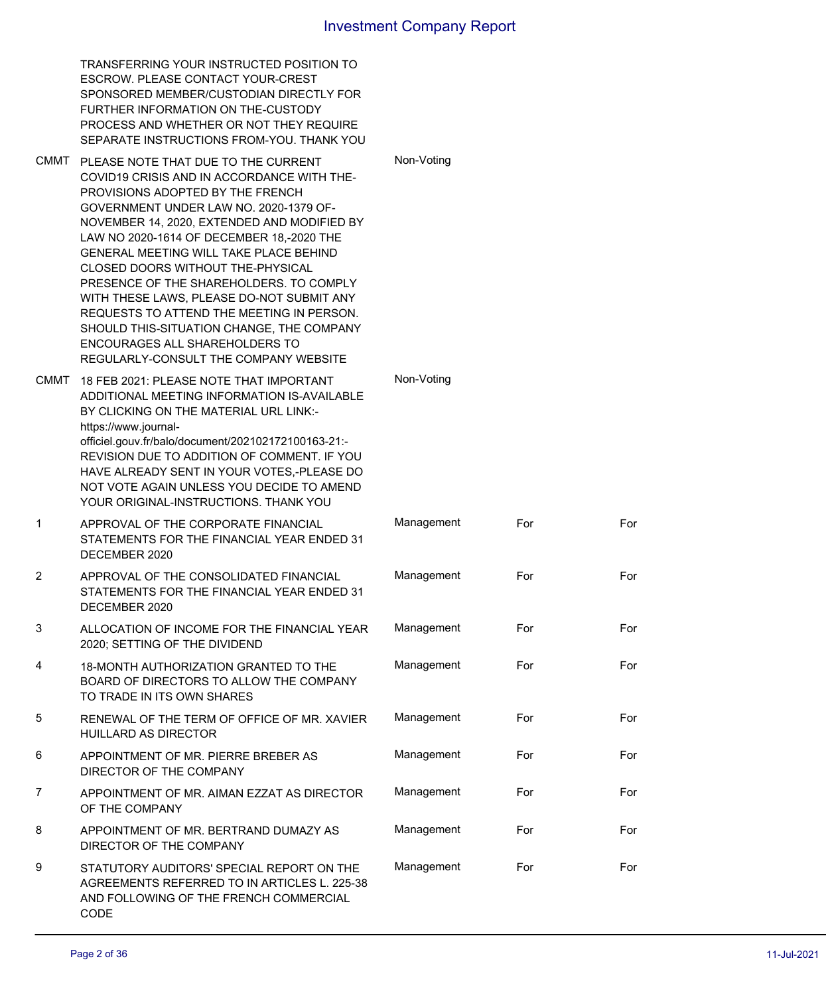|      | TRANSFERRING YOUR INSTRUCTED POSITION TO<br>ESCROW. PLEASE CONTACT YOUR-CREST<br>SPONSORED MEMBER/CUSTODIAN DIRECTLY FOR<br>FURTHER INFORMATION ON THE-CUSTODY<br>PROCESS AND WHETHER OR NOT THEY REQUIRE<br>SEPARATE INSTRUCTIONS FROM-YOU. THANK YOU                                                                                                                                                                                                                                                                                                                                                                     |            |     |     |
|------|----------------------------------------------------------------------------------------------------------------------------------------------------------------------------------------------------------------------------------------------------------------------------------------------------------------------------------------------------------------------------------------------------------------------------------------------------------------------------------------------------------------------------------------------------------------------------------------------------------------------------|------------|-----|-----|
|      | CMMT PLEASE NOTE THAT DUE TO THE CURRENT<br>COVID19 CRISIS AND IN ACCORDANCE WITH THE-<br>PROVISIONS ADOPTED BY THE FRENCH<br>GOVERNMENT UNDER LAW NO. 2020-1379 OF-<br>NOVEMBER 14, 2020, EXTENDED AND MODIFIED BY<br>LAW NO 2020-1614 OF DECEMBER 18,-2020 THE<br><b>GENERAL MEETING WILL TAKE PLACE BEHIND</b><br><b>CLOSED DOORS WITHOUT THE-PHYSICAL</b><br>PRESENCE OF THE SHAREHOLDERS. TO COMPLY<br>WITH THESE LAWS, PLEASE DO-NOT SUBMIT ANY<br>REQUESTS TO ATTEND THE MEETING IN PERSON.<br>SHOULD THIS-SITUATION CHANGE, THE COMPANY<br>ENCOURAGES ALL SHAREHOLDERS TO<br>REGULARLY-CONSULT THE COMPANY WEBSITE | Non-Voting |     |     |
| CMMT | 18 FEB 2021: PLEASE NOTE THAT IMPORTANT<br>ADDITIONAL MEETING INFORMATION IS-AVAILABLE<br>BY CLICKING ON THE MATERIAL URL LINK:-<br>https://www.journal-<br>officiel.gouv.fr/balo/document/202102172100163-21:-<br>REVISION DUE TO ADDITION OF COMMENT. IF YOU<br>HAVE ALREADY SENT IN YOUR VOTES,-PLEASE DO<br>NOT VOTE AGAIN UNLESS YOU DECIDE TO AMEND<br>YOUR ORIGINAL-INSTRUCTIONS. THANK YOU                                                                                                                                                                                                                         | Non-Voting |     |     |
| 1    | APPROVAL OF THE CORPORATE FINANCIAL<br>STATEMENTS FOR THE FINANCIAL YEAR ENDED 31<br>DECEMBER 2020                                                                                                                                                                                                                                                                                                                                                                                                                                                                                                                         | Management | For | For |
| 2    | APPROVAL OF THE CONSOLIDATED FINANCIAL<br>STATEMENTS FOR THE FINANCIAL YEAR ENDED 31<br>DECEMBER 2020                                                                                                                                                                                                                                                                                                                                                                                                                                                                                                                      | Management | For | For |
| 3    | ALLOCATION OF INCOME FOR THE FINANCIAL YEAR<br>2020; SETTING OF THE DIVIDEND                                                                                                                                                                                                                                                                                                                                                                                                                                                                                                                                               | Management | For | For |
| 4    | <b>18-MONTH AUTHORIZATION GRANTED TO THE</b><br>BOARD OF DIRECTORS TO ALLOW THE COMPANY<br>TO TRADE IN ITS OWN SHARES                                                                                                                                                                                                                                                                                                                                                                                                                                                                                                      | Management | For | For |
| 5    | RENEWAL OF THE TERM OF OFFICE OF MR. XAVIER<br>HUILLARD AS DIRECTOR                                                                                                                                                                                                                                                                                                                                                                                                                                                                                                                                                        | Management | For | For |
| 6    | APPOINTMENT OF MR. PIERRE BREBER AS<br>DIRECTOR OF THE COMPANY                                                                                                                                                                                                                                                                                                                                                                                                                                                                                                                                                             | Management | For | For |
| 7    | APPOINTMENT OF MR. AIMAN EZZAT AS DIRECTOR<br>OF THE COMPANY                                                                                                                                                                                                                                                                                                                                                                                                                                                                                                                                                               | Management | For | For |
| 8    | APPOINTMENT OF MR. BERTRAND DUMAZY AS<br>DIRECTOR OF THE COMPANY                                                                                                                                                                                                                                                                                                                                                                                                                                                                                                                                                           | Management | For | For |
| 9    | STATUTORY AUDITORS' SPECIAL REPORT ON THE<br>AGREEMENTS REFERRED TO IN ARTICLES L. 225-38<br>AND FOLLOWING OF THE FRENCH COMMERCIAL<br>CODE                                                                                                                                                                                                                                                                                                                                                                                                                                                                                | Management | For | For |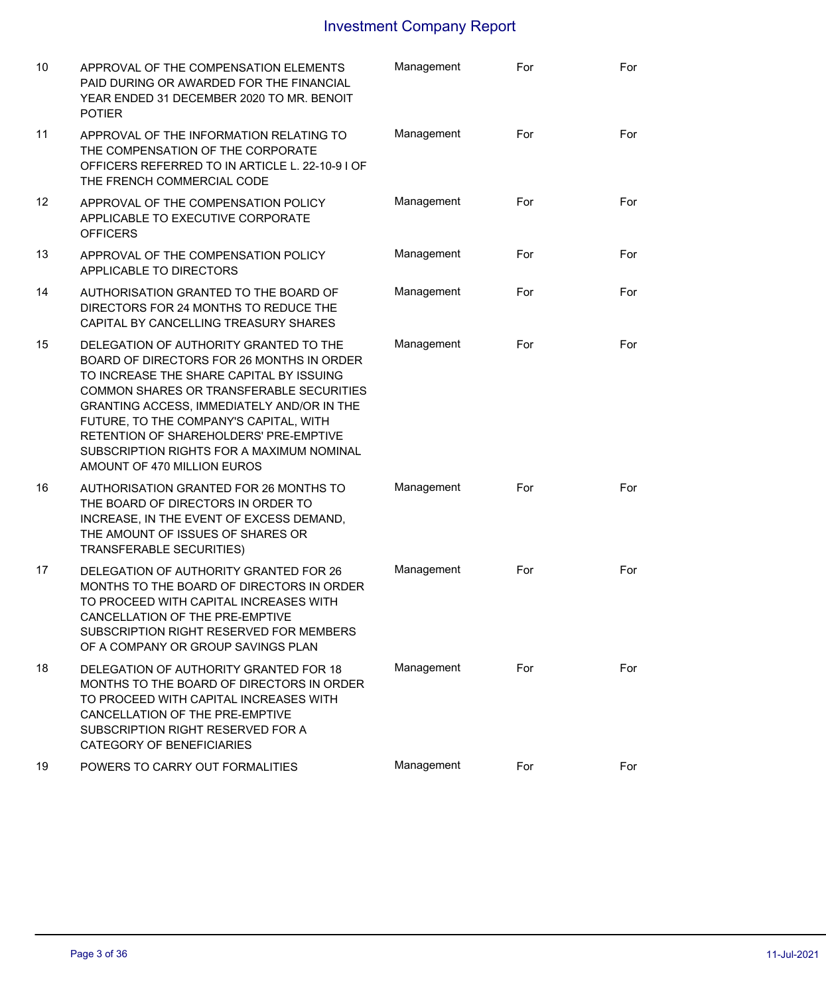| 10              | APPROVAL OF THE COMPENSATION ELEMENTS<br>PAID DURING OR AWARDED FOR THE FINANCIAL<br>YEAR ENDED 31 DECEMBER 2020 TO MR. BENOIT<br><b>POTIER</b>                                                                                                                                                                                                                                           | Management | For | For |
|-----------------|-------------------------------------------------------------------------------------------------------------------------------------------------------------------------------------------------------------------------------------------------------------------------------------------------------------------------------------------------------------------------------------------|------------|-----|-----|
| 11              | APPROVAL OF THE INFORMATION RELATING TO<br>THE COMPENSATION OF THE CORPORATE<br>OFFICERS REFERRED TO IN ARTICLE L. 22-10-9 I OF<br>THE FRENCH COMMERCIAL CODE                                                                                                                                                                                                                             | Management | For | For |
| 12 <sup>2</sup> | APPROVAL OF THE COMPENSATION POLICY<br>APPLICABLE TO EXECUTIVE CORPORATE<br><b>OFFICERS</b>                                                                                                                                                                                                                                                                                               | Management | For | For |
| 13              | APPROVAL OF THE COMPENSATION POLICY<br>APPLICABLE TO DIRECTORS                                                                                                                                                                                                                                                                                                                            | Management | For | For |
| 14              | AUTHORISATION GRANTED TO THE BOARD OF<br>DIRECTORS FOR 24 MONTHS TO REDUCE THE<br>CAPITAL BY CANCELLING TREASURY SHARES                                                                                                                                                                                                                                                                   | Management | For | For |
| 15              | DELEGATION OF AUTHORITY GRANTED TO THE<br>BOARD OF DIRECTORS FOR 26 MONTHS IN ORDER<br>TO INCREASE THE SHARE CAPITAL BY ISSUING<br>COMMON SHARES OR TRANSFERABLE SECURITIES<br>GRANTING ACCESS, IMMEDIATELY AND/OR IN THE<br>FUTURE, TO THE COMPANY'S CAPITAL, WITH<br>RETENTION OF SHAREHOLDERS' PRE-EMPTIVE<br>SUBSCRIPTION RIGHTS FOR A MAXIMUM NOMINAL<br>AMOUNT OF 470 MILLION EUROS | Management | For | For |
| 16              | AUTHORISATION GRANTED FOR 26 MONTHS TO<br>THE BOARD OF DIRECTORS IN ORDER TO<br>INCREASE, IN THE EVENT OF EXCESS DEMAND,<br>THE AMOUNT OF ISSUES OF SHARES OR<br><b>TRANSFERABLE SECURITIES)</b>                                                                                                                                                                                          | Management | For | For |
| 17              | DELEGATION OF AUTHORITY GRANTED FOR 26<br>MONTHS TO THE BOARD OF DIRECTORS IN ORDER<br>TO PROCEED WITH CAPITAL INCREASES WITH<br>CANCELLATION OF THE PRE-EMPTIVE<br>SUBSCRIPTION RIGHT RESERVED FOR MEMBERS<br>OF A COMPANY OR GROUP SAVINGS PLAN                                                                                                                                         | Management | For | For |
| 18              | DELEGATION OF AUTHORITY GRANTED FOR 18<br>MONTHS TO THE BOARD OF DIRECTORS IN ORDER<br>TO PROCEED WITH CAPITAL INCREASES WITH<br>CANCELLATION OF THE PRE-EMPTIVE<br>SUBSCRIPTION RIGHT RESERVED FOR A<br><b>CATEGORY OF BENEFICIARIES</b>                                                                                                                                                 | Management | For | For |
| 19              | POWERS TO CARRY OUT FORMALITIES                                                                                                                                                                                                                                                                                                                                                           | Management | For | For |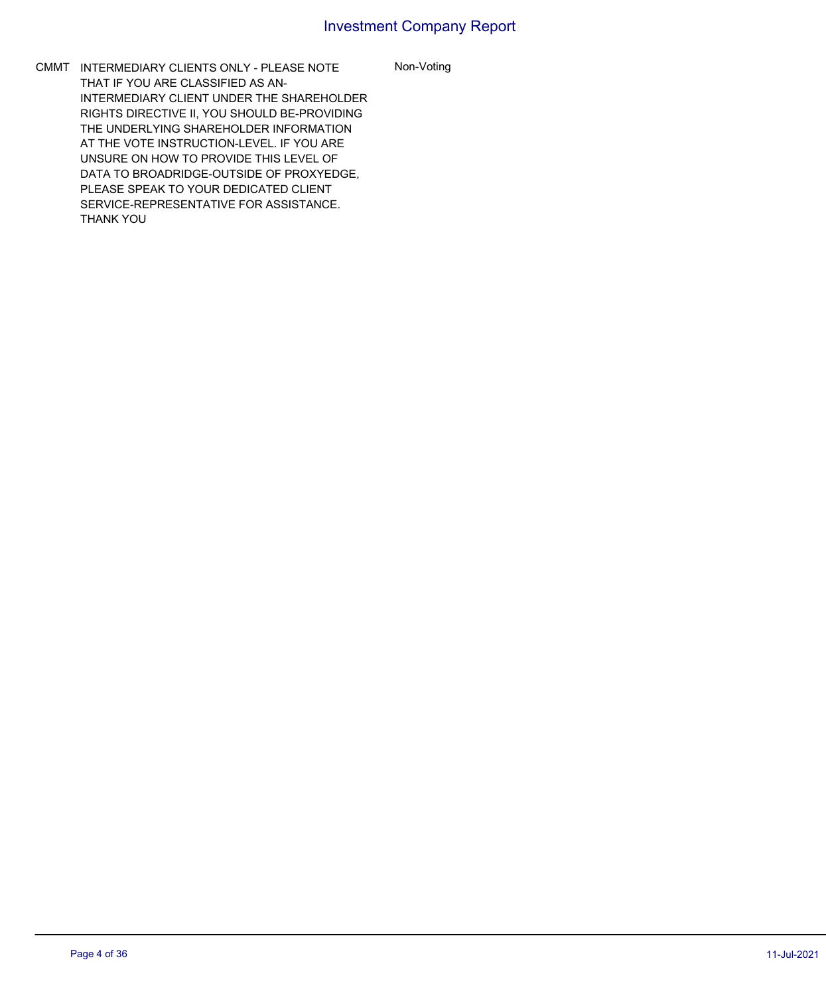Non-Voting

CMMT INTERMEDIARY CLIENTS ONLY - PLEASE NOTE THAT IF YOU ARE CLASSIFIED AS AN-INTERMEDIARY CLIENT UNDER THE SHAREHOLDER RIGHTS DIRECTIVE II, YOU SHOULD BE-PROVIDING THE UNDERLYING SHAREHOLDER INFORMATION AT THE VOTE INSTRUCTION-LEVEL. IF YOU ARE UNSURE ON HOW TO PROVIDE THIS LEVEL OF DATA TO BROADRIDGE-OUTSIDE OF PROXYEDGE, PLEASE SPEAK TO YOUR DEDICATED CLIENT SERVICE-REPRESENTATIVE FOR ASSISTANCE. THANK YOU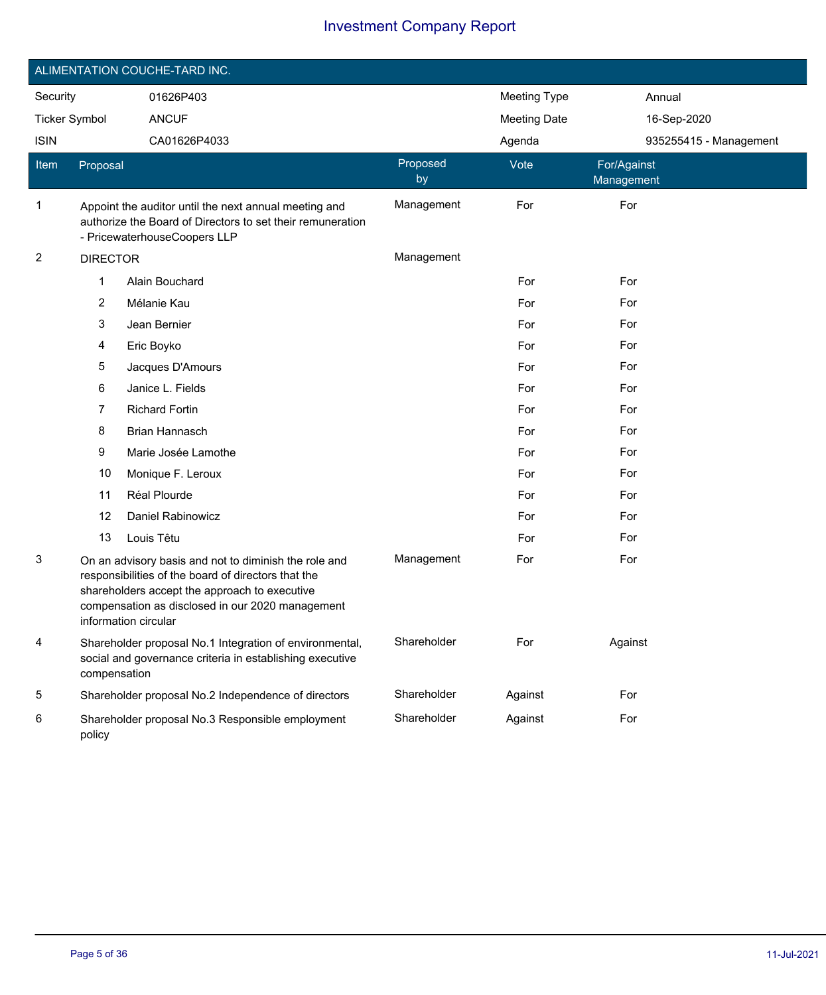|                         |                 | ALIMENTATION COUCHE-TARD INC.                                                                                                                                                                                                             |                |                     |                           |  |
|-------------------------|-----------------|-------------------------------------------------------------------------------------------------------------------------------------------------------------------------------------------------------------------------------------------|----------------|---------------------|---------------------------|--|
| Security                |                 | 01626P403                                                                                                                                                                                                                                 |                | <b>Meeting Type</b> | Annual                    |  |
| <b>Ticker Symbol</b>    |                 | <b>ANCUF</b>                                                                                                                                                                                                                              |                | <b>Meeting Date</b> | 16-Sep-2020               |  |
| <b>ISIN</b>             |                 | CA01626P4033                                                                                                                                                                                                                              |                | Agenda              | 935255415 - Management    |  |
| Item                    | Proposal        |                                                                                                                                                                                                                                           | Proposed<br>by | Vote                | For/Against<br>Management |  |
| 1                       |                 | Appoint the auditor until the next annual meeting and<br>authorize the Board of Directors to set their remuneration<br>- PricewaterhouseCoopers LLP                                                                                       | Management     | For                 | For                       |  |
| $\overline{\mathbf{c}}$ | <b>DIRECTOR</b> |                                                                                                                                                                                                                                           | Management     |                     |                           |  |
|                         | 1               | Alain Bouchard                                                                                                                                                                                                                            |                | For                 | For                       |  |
|                         | 2               | Mélanie Kau                                                                                                                                                                                                                               |                | For                 | For                       |  |
|                         | 3               | Jean Bernier                                                                                                                                                                                                                              |                | For                 | For                       |  |
|                         | 4               | Eric Boyko                                                                                                                                                                                                                                |                | For                 | For                       |  |
|                         | 5               | Jacques D'Amours                                                                                                                                                                                                                          |                | For                 | For                       |  |
|                         | 6               | Janice L. Fields                                                                                                                                                                                                                          |                | For                 | For                       |  |
|                         | 7               | <b>Richard Fortin</b>                                                                                                                                                                                                                     |                | For                 | For                       |  |
|                         | 8               | Brian Hannasch                                                                                                                                                                                                                            |                | For                 | For                       |  |
|                         | 9               | Marie Josée Lamothe                                                                                                                                                                                                                       |                | For                 | For                       |  |
|                         | 10              | Monique F. Leroux                                                                                                                                                                                                                         |                | For                 | For                       |  |
|                         | 11              | Réal Plourde                                                                                                                                                                                                                              |                | For                 | For                       |  |
|                         | 12              | Daniel Rabinowicz                                                                                                                                                                                                                         |                | For                 | For                       |  |
|                         | 13              | Louis Têtu                                                                                                                                                                                                                                |                | For                 | For                       |  |
| 3                       |                 | On an advisory basis and not to diminish the role and<br>responsibilities of the board of directors that the<br>shareholders accept the approach to executive<br>compensation as disclosed in our 2020 management<br>information circular | Management     | For                 | For                       |  |
| 4                       | compensation    | Shareholder proposal No.1 Integration of environmental,<br>social and governance criteria in establishing executive                                                                                                                       | Shareholder    | For                 | Against                   |  |
| 5                       |                 | Shareholder proposal No.2 Independence of directors                                                                                                                                                                                       | Shareholder    | Against             | For                       |  |
| 6                       | policy          | Shareholder proposal No.3 Responsible employment                                                                                                                                                                                          | Shareholder    | Against             | For                       |  |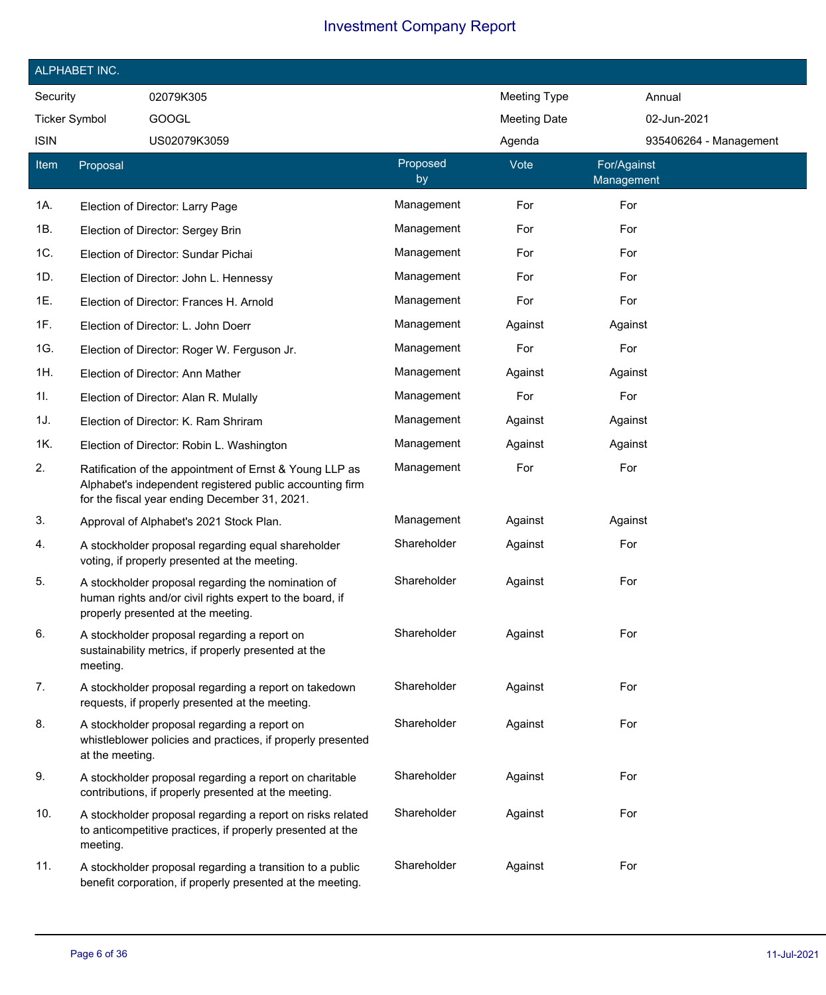|                      | ALPHABET INC.   |                                                                                                                                                                      |                |                     |                           |                        |
|----------------------|-----------------|----------------------------------------------------------------------------------------------------------------------------------------------------------------------|----------------|---------------------|---------------------------|------------------------|
| Security             |                 | 02079K305                                                                                                                                                            |                | <b>Meeting Type</b> | Annual                    |                        |
| <b>Ticker Symbol</b> |                 | <b>GOOGL</b>                                                                                                                                                         |                | <b>Meeting Date</b> | 02-Jun-2021               |                        |
| <b>ISIN</b>          |                 | US02079K3059                                                                                                                                                         |                | Agenda              |                           | 935406264 - Management |
| <b>Item</b>          | Proposal        |                                                                                                                                                                      | Proposed<br>by | Vote                | For/Against<br>Management |                        |
| 1A.                  |                 | Election of Director: Larry Page                                                                                                                                     | Management     | For                 | For                       |                        |
| 1B.                  |                 | Election of Director: Sergey Brin                                                                                                                                    | Management     | For                 | For                       |                        |
| 1C.                  |                 | Election of Director: Sundar Pichai                                                                                                                                  | Management     | For                 | For                       |                        |
| 1D.                  |                 | Election of Director: John L. Hennessy                                                                                                                               | Management     | For                 | For                       |                        |
| 1E.                  |                 | Election of Director: Frances H. Arnold                                                                                                                              | Management     | For                 | For                       |                        |
| 1F.                  |                 | Election of Director: L. John Doerr                                                                                                                                  | Management     | Against             | Against                   |                        |
| 1G.                  |                 | Election of Director: Roger W. Ferguson Jr.                                                                                                                          | Management     | For                 | For                       |                        |
| 1H.                  |                 | Election of Director: Ann Mather                                                                                                                                     | Management     | Against             | Against                   |                        |
| 1I.                  |                 | Election of Director: Alan R. Mulally                                                                                                                                | Management     | For                 | For                       |                        |
| 1J.                  |                 | Election of Director: K. Ram Shriram                                                                                                                                 | Management     | Against             | Against                   |                        |
| 1K.                  |                 | Election of Director: Robin L. Washington                                                                                                                            | Management     | Against             | Against                   |                        |
| 2.                   |                 | Ratification of the appointment of Ernst & Young LLP as<br>Alphabet's independent registered public accounting firm<br>for the fiscal year ending December 31, 2021. | Management     | For                 | For                       |                        |
| 3.                   |                 | Approval of Alphabet's 2021 Stock Plan.                                                                                                                              | Management     | Against             | Against                   |                        |
| 4.                   |                 | A stockholder proposal regarding equal shareholder<br>voting, if properly presented at the meeting.                                                                  | Shareholder    | Against             | For                       |                        |
| 5.                   |                 | A stockholder proposal regarding the nomination of<br>human rights and/or civil rights expert to the board, if<br>properly presented at the meeting.                 | Shareholder    | Against             | For                       |                        |
| 6.                   | meeting.        | A stockholder proposal regarding a report on<br>sustainability metrics, if properly presented at the                                                                 | Shareholder    | Against             | For                       |                        |
| 7.                   |                 | A stockholder proposal regarding a report on takedown<br>requests, if properly presented at the meeting.                                                             | Shareholder    | Against             | For                       |                        |
| 8.                   | at the meeting. | A stockholder proposal regarding a report on<br>whistleblower policies and practices, if properly presented                                                          | Shareholder    | Against             | For                       |                        |
| 9.                   |                 | A stockholder proposal regarding a report on charitable<br>contributions, if properly presented at the meeting.                                                      | Shareholder    | Against             | For                       |                        |
| 10.                  | meeting.        | A stockholder proposal regarding a report on risks related<br>to anticompetitive practices, if properly presented at the                                             | Shareholder    | Against             | For                       |                        |
| 11.                  |                 | A stockholder proposal regarding a transition to a public<br>benefit corporation, if properly presented at the meeting.                                              | Shareholder    | Against             | For                       |                        |

Ī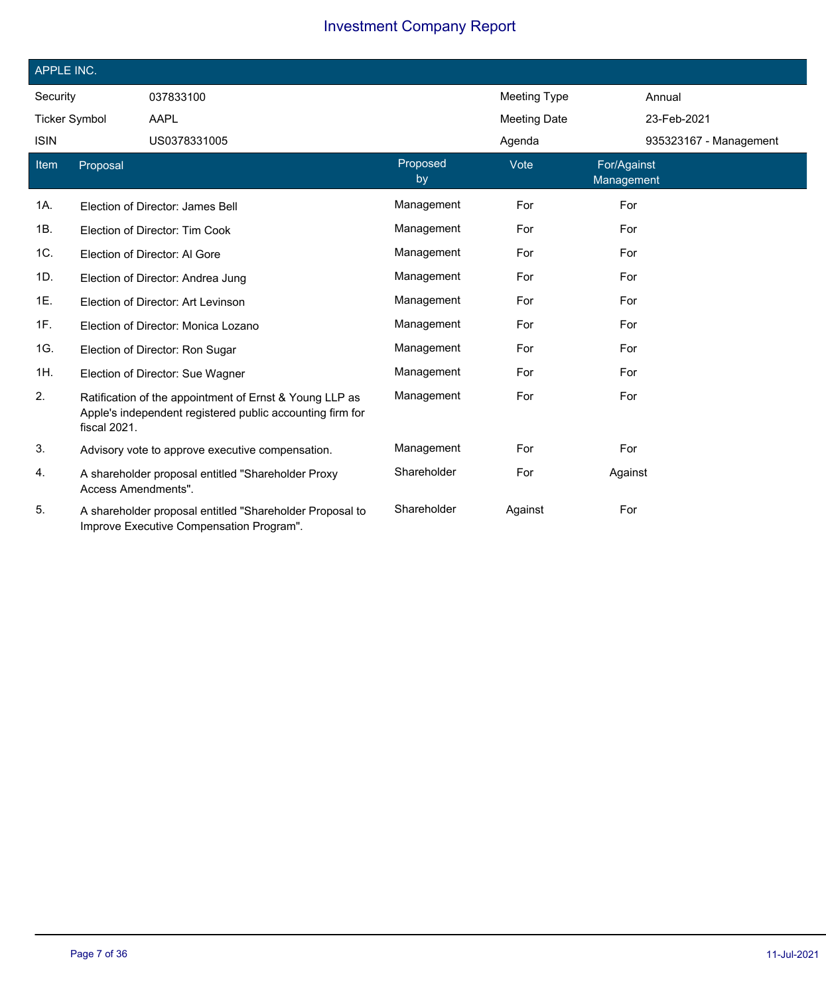| APPLE INC.           |                     |                                                                                                                      |                |                     |                           |  |
|----------------------|---------------------|----------------------------------------------------------------------------------------------------------------------|----------------|---------------------|---------------------------|--|
| Security             |                     | 037833100                                                                                                            |                | <b>Meeting Type</b> | Annual                    |  |
| <b>Ticker Symbol</b> |                     | AAPL                                                                                                                 |                | <b>Meeting Date</b> | 23-Feb-2021               |  |
| <b>ISIN</b>          |                     | US0378331005                                                                                                         |                | Agenda              | 935323167 - Management    |  |
| Item                 | Proposal            |                                                                                                                      | Proposed<br>by | Vote                | For/Against<br>Management |  |
| 1A.                  |                     | Election of Director: James Bell                                                                                     | Management     | For                 | For                       |  |
| 1B.                  |                     | Election of Director: Tim Cook                                                                                       | Management     | For                 | For                       |  |
| 1C.                  |                     | Election of Director: Al Gore                                                                                        | Management     | For                 | For                       |  |
| 1D.                  |                     | Election of Director: Andrea Jung                                                                                    | Management     | For                 | For                       |  |
| 1E.                  |                     | Election of Director: Art Levinson                                                                                   | Management     | For                 | For                       |  |
| 1F.                  |                     | Election of Director: Monica Lozano                                                                                  | Management     | For                 | For                       |  |
| 1G.                  |                     | Election of Director: Ron Sugar                                                                                      | Management     | For                 | For                       |  |
| 1H.                  |                     | Election of Director: Sue Wagner                                                                                     | Management     | For                 | For                       |  |
| 2.                   | fiscal 2021.        | Ratification of the appointment of Ernst & Young LLP as<br>Apple's independent registered public accounting firm for | Management     | For                 | For                       |  |
| 3.                   |                     | Advisory vote to approve executive compensation.                                                                     | Management     | For                 | For                       |  |
| 4.                   | Access Amendments". | A shareholder proposal entitled "Shareholder Proxy                                                                   | Shareholder    | For                 | Against                   |  |
| 5.                   |                     | A shareholder proposal entitled "Shareholder Proposal to<br>Improve Executive Compensation Program".                 | Shareholder    | Against             | For                       |  |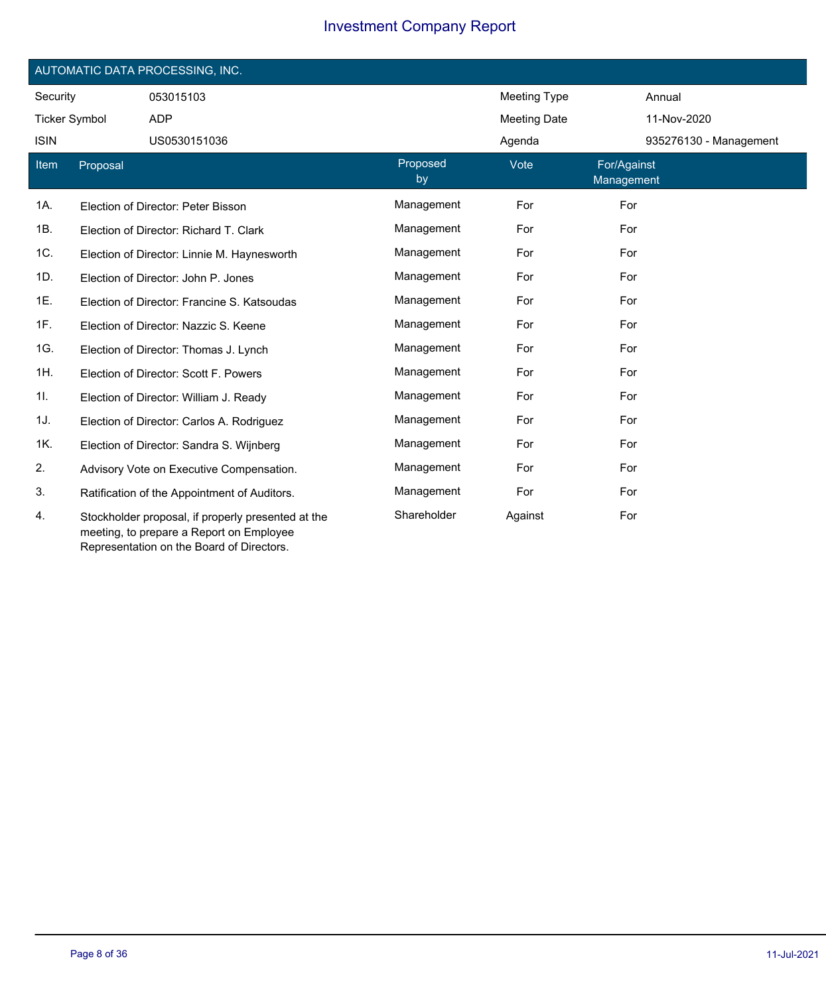|                      |          | AUTOMATIC DATA PROCESSING, INC.                                                           |                |                     |                           |
|----------------------|----------|-------------------------------------------------------------------------------------------|----------------|---------------------|---------------------------|
| Security             |          | 053015103                                                                                 |                | <b>Meeting Type</b> | Annual                    |
| <b>Ticker Symbol</b> |          | <b>ADP</b>                                                                                |                | <b>Meeting Date</b> | 11-Nov-2020               |
| <b>ISIN</b>          |          | US0530151036                                                                              |                | Agenda              | 935276130 - Management    |
| Item                 | Proposal |                                                                                           | Proposed<br>by | Vote                | For/Against<br>Management |
| 1A.                  |          | Election of Director: Peter Bisson                                                        | Management     | For                 | For                       |
| 1B.                  |          | Election of Director: Richard T. Clark                                                    | Management     | For                 | For                       |
| 1C.                  |          | Election of Director: Linnie M. Haynesworth                                               | Management     | For                 | For                       |
| 1D.                  |          | Election of Director: John P. Jones                                                       | Management     | For                 | For                       |
| 1E.                  |          | Election of Director: Francine S. Katsoudas                                               | Management     | For                 | For                       |
| 1F.                  |          | Election of Director: Nazzic S. Keene                                                     | Management     | For                 | For                       |
| 1G.                  |          | Election of Director: Thomas J. Lynch                                                     | Management     | For                 | For                       |
| 1H.                  |          | Election of Director: Scott F. Powers                                                     | Management     | For                 | For                       |
| 11.                  |          | Election of Director: William J. Ready                                                    | Management     | For                 | For                       |
| 1J.                  |          | Election of Director: Carlos A. Rodriguez                                                 | Management     | For                 | For                       |
| 1K.                  |          | Election of Director: Sandra S. Wijnberg                                                  | Management     | For                 | For                       |
| 2.                   |          | Advisory Vote on Executive Compensation.                                                  | Management     | For                 | For                       |
| 3.                   |          | Ratification of the Appointment of Auditors.                                              | Management     | For                 | For                       |
| 4.                   |          | Stockholder proposal, if properly presented at the<br>ina, ta munnann a Danamh an Emmlaun | Shareholder    | Against             | For                       |

meeting, to prepare a Report on Employee Representation on the Board of Directors.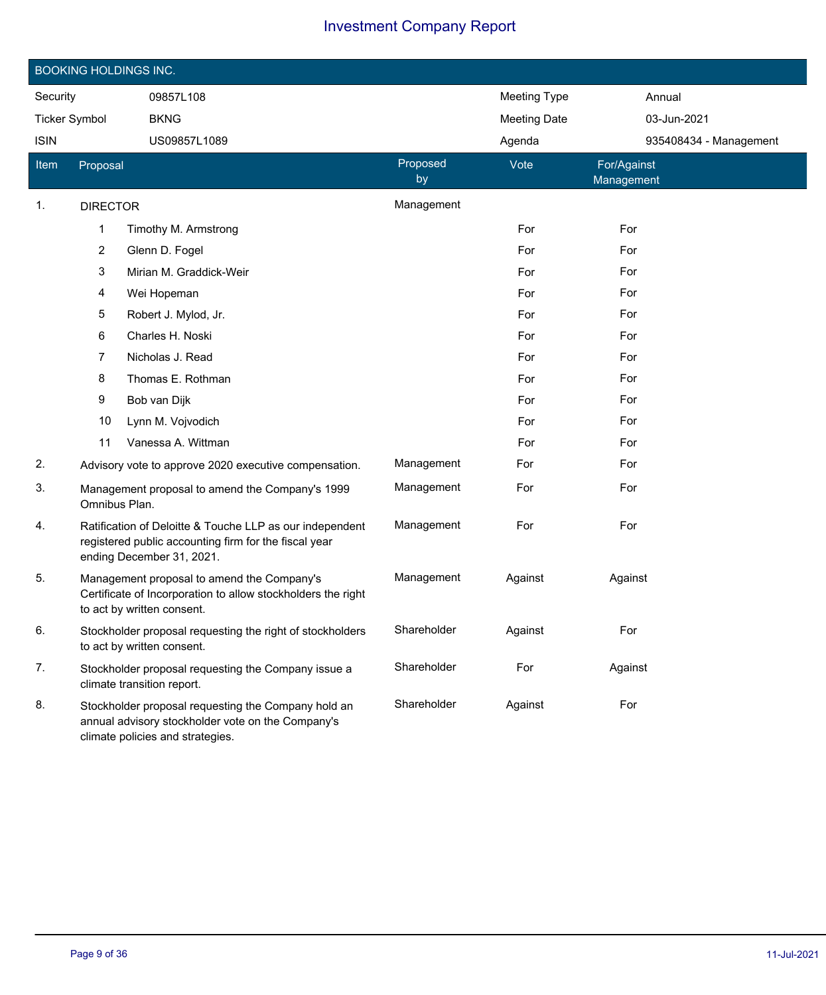|                      |                                                                                                                                          | <b>BOOKING HOLDINGS INC.</b>                                                                                                                   |                |                     |                           |
|----------------------|------------------------------------------------------------------------------------------------------------------------------------------|------------------------------------------------------------------------------------------------------------------------------------------------|----------------|---------------------|---------------------------|
| Security             |                                                                                                                                          | 09857L108                                                                                                                                      |                | <b>Meeting Type</b> | Annual                    |
| <b>Ticker Symbol</b> |                                                                                                                                          | <b>BKNG</b>                                                                                                                                    |                | <b>Meeting Date</b> | 03-Jun-2021               |
| <b>ISIN</b>          |                                                                                                                                          | US09857L1089                                                                                                                                   |                | Agenda              | 935408434 - Management    |
| Item                 | Proposal                                                                                                                                 |                                                                                                                                                | Proposed<br>by | Vote                | For/Against<br>Management |
| 1.                   | <b>DIRECTOR</b>                                                                                                                          |                                                                                                                                                | Management     |                     |                           |
|                      | 1                                                                                                                                        | Timothy M. Armstrong                                                                                                                           |                | For                 | For                       |
|                      | $\overline{2}$                                                                                                                           | Glenn D. Fogel                                                                                                                                 |                | For                 | For                       |
|                      | 3                                                                                                                                        | Mirian M. Graddick-Weir                                                                                                                        |                | For                 | For                       |
|                      | 4                                                                                                                                        | Wei Hopeman                                                                                                                                    |                | For                 | For                       |
|                      | 5                                                                                                                                        | Robert J. Mylod, Jr.                                                                                                                           |                | For                 | For                       |
|                      | 6                                                                                                                                        | Charles H. Noski                                                                                                                               |                | For                 | For                       |
|                      | 7                                                                                                                                        | Nicholas J. Read                                                                                                                               |                | For                 | For                       |
|                      | 8                                                                                                                                        | Thomas E. Rothman                                                                                                                              |                | For                 | For                       |
|                      | 9                                                                                                                                        | Bob van Dijk                                                                                                                                   |                | For                 | For                       |
|                      | 10                                                                                                                                       | Lynn M. Vojvodich                                                                                                                              |                | For                 | For                       |
|                      | 11                                                                                                                                       | Vanessa A. Wittman                                                                                                                             |                | For                 | For                       |
| 2.                   |                                                                                                                                          | Advisory vote to approve 2020 executive compensation.                                                                                          | Management     | For                 | For                       |
| 3.                   | Omnibus Plan.                                                                                                                            | Management proposal to amend the Company's 1999                                                                                                | Management     | For                 | For                       |
| 4.                   |                                                                                                                                          | Ratification of Deloitte & Touche LLP as our independent<br>registered public accounting firm for the fiscal year<br>ending December 31, 2021. | Management     | For                 | For                       |
| 5.                   | Management proposal to amend the Company's<br>Certificate of Incorporation to allow stockholders the right<br>to act by written consent. |                                                                                                                                                | Management     | Against             | Against                   |
| 6.                   |                                                                                                                                          | Stockholder proposal requesting the right of stockholders<br>to act by written consent.                                                        | Shareholder    | Against             | For                       |
| 7.                   |                                                                                                                                          | Stockholder proposal requesting the Company issue a<br>climate transition report.                                                              | Shareholder    | For                 | Against                   |
| 8.                   |                                                                                                                                          | Stockholder proposal requesting the Company hold an<br>annual advisory stockholder vote on the Company's<br>climate policies and strategies.   | Shareholder    | Against             | For                       |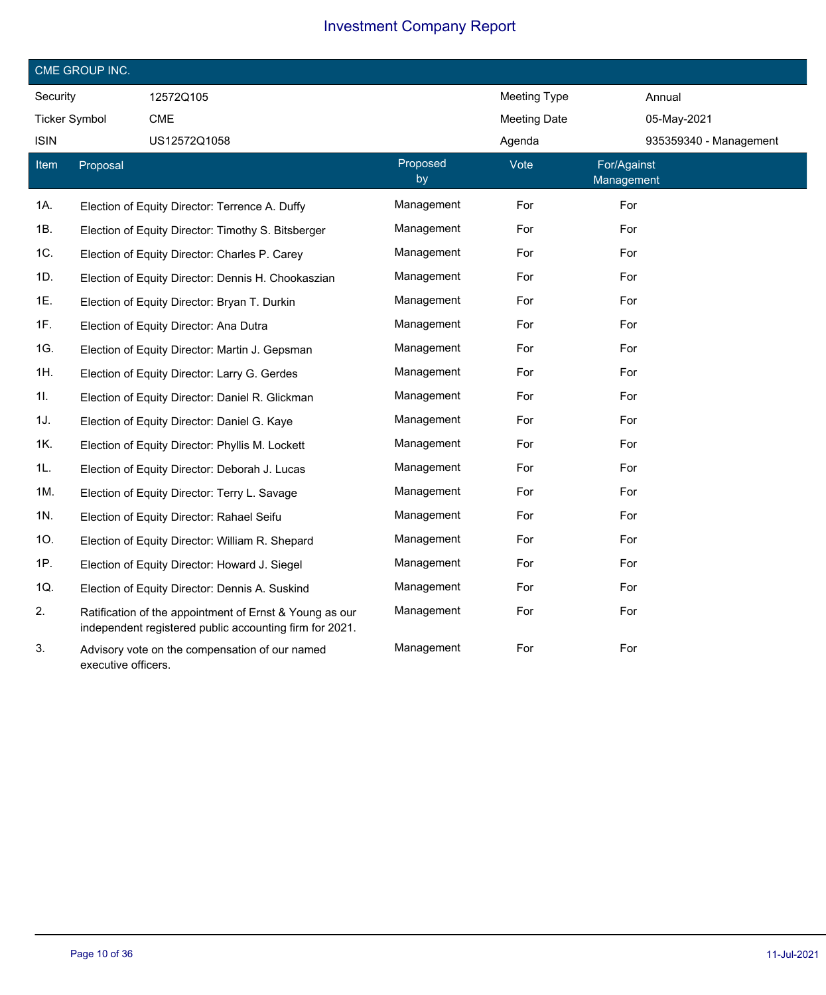|                      | CME GROUP INC.      |                                                                                                                    |                |                     |                           |                        |
|----------------------|---------------------|--------------------------------------------------------------------------------------------------------------------|----------------|---------------------|---------------------------|------------------------|
| Security             |                     | 12572Q105                                                                                                          |                | <b>Meeting Type</b> | Annual                    |                        |
| <b>Ticker Symbol</b> |                     | CME                                                                                                                |                | <b>Meeting Date</b> | 05-May-2021               |                        |
| <b>ISIN</b>          |                     | US12572Q1058                                                                                                       |                | Agenda              |                           | 935359340 - Management |
| <b>Item</b>          | Proposal            |                                                                                                                    | Proposed<br>by | Vote                | For/Against<br>Management |                        |
| 1A.                  |                     | Election of Equity Director: Terrence A. Duffy                                                                     | Management     | For                 | For                       |                        |
| 1B.                  |                     | Election of Equity Director: Timothy S. Bitsberger                                                                 | Management     | For                 | For                       |                        |
| 1C.                  |                     | Election of Equity Director: Charles P. Carey                                                                      | Management     | For                 | For                       |                        |
| 1D.                  |                     | Election of Equity Director: Dennis H. Chookaszian                                                                 | Management     | For                 | For                       |                        |
| 1E.                  |                     | Election of Equity Director: Bryan T. Durkin                                                                       | Management     | For                 | For                       |                        |
| 1F.                  |                     | Election of Equity Director: Ana Dutra                                                                             | Management     | For                 | For                       |                        |
| 1G.                  |                     | Election of Equity Director: Martin J. Gepsman                                                                     | Management     | For                 | For                       |                        |
| 1H.                  |                     | Election of Equity Director: Larry G. Gerdes                                                                       | Management     | For                 | For                       |                        |
| 1I.                  |                     | Election of Equity Director: Daniel R. Glickman                                                                    | Management     | For                 | For                       |                        |
| 1J.                  |                     | Election of Equity Director: Daniel G. Kaye                                                                        | Management     | For                 | For                       |                        |
| 1K.                  |                     | Election of Equity Director: Phyllis M. Lockett                                                                    | Management     | For                 | For                       |                        |
| 1L.                  |                     | Election of Equity Director: Deborah J. Lucas                                                                      | Management     | For                 | For                       |                        |
| 1M.                  |                     | Election of Equity Director: Terry L. Savage                                                                       | Management     | For                 | For                       |                        |
| 1N.                  |                     | Election of Equity Director: Rahael Seifu                                                                          | Management     | For                 | For                       |                        |
| 10.                  |                     | Election of Equity Director: William R. Shepard                                                                    | Management     | For                 | For                       |                        |
| 1P.                  |                     | Election of Equity Director: Howard J. Siegel                                                                      | Management     | For                 | For                       |                        |
| 1Q.                  |                     | Election of Equity Director: Dennis A. Suskind                                                                     | Management     | For                 | For                       |                        |
| 2.                   |                     | Ratification of the appointment of Ernst & Young as our<br>independent registered public accounting firm for 2021. | Management     | For                 | For                       |                        |
| 3.                   | executive officers. | Advisory vote on the compensation of our named                                                                     | Management     | For                 | For                       |                        |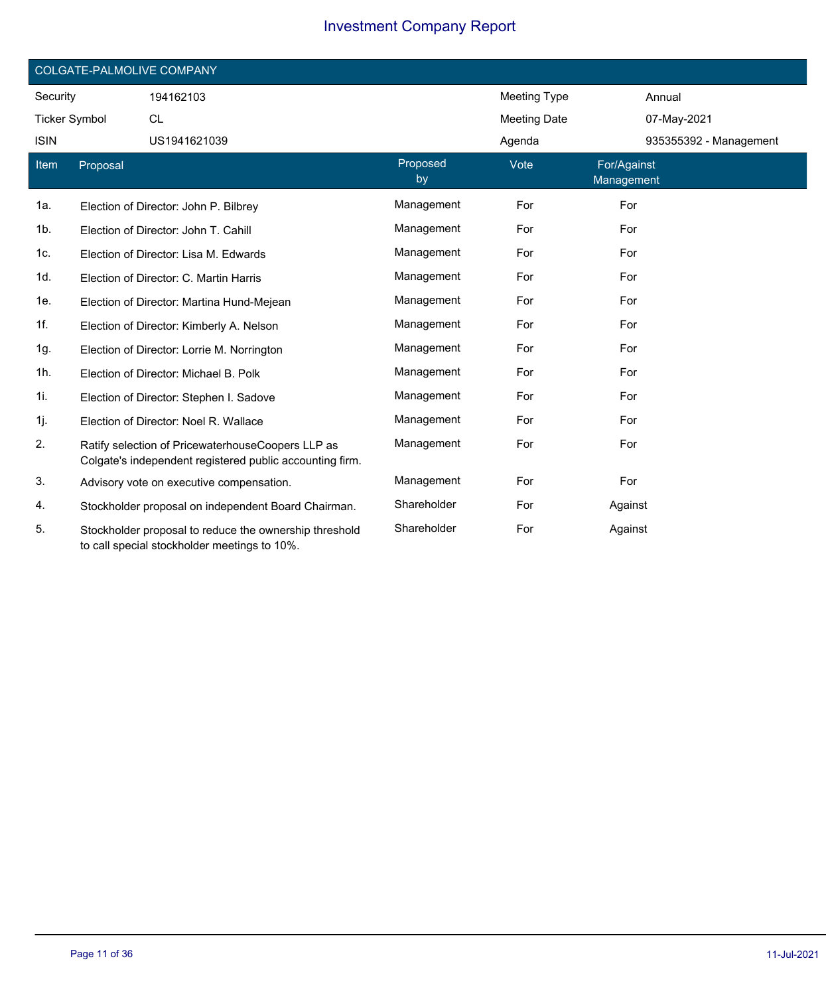|                      |          | COLGATE-PALMOLIVE COMPANY                                                                                     |                |                     |                           |
|----------------------|----------|---------------------------------------------------------------------------------------------------------------|----------------|---------------------|---------------------------|
| Security             |          | 194162103                                                                                                     |                | <b>Meeting Type</b> | Annual                    |
| <b>Ticker Symbol</b> |          | <b>CL</b>                                                                                                     |                | <b>Meeting Date</b> | 07-May-2021               |
| <b>ISIN</b>          |          | US1941621039                                                                                                  |                | Agenda              | 935355392 - Management    |
| Item                 | Proposal |                                                                                                               | Proposed<br>by | Vote                | For/Against<br>Management |
| 1a.                  |          | Election of Director: John P. Bilbrey                                                                         | Management     | For                 | For                       |
| 1b.                  |          | Election of Director: John T. Cahill                                                                          | Management     | For                 | For                       |
| 1c.                  |          | Election of Director: Lisa M. Edwards                                                                         | Management     | For                 | For                       |
| 1d.                  |          | Election of Director: C. Martin Harris                                                                        | Management     | For                 | For                       |
| 1e.                  |          | Election of Director: Martina Hund-Mejean                                                                     | Management     | For                 | For                       |
| 1f.                  |          | Election of Director: Kimberly A. Nelson                                                                      | Management     | For                 | For                       |
| 1g.                  |          | Election of Director: Lorrie M. Norrington                                                                    | Management     | For                 | For                       |
| 1h.                  |          | Election of Director: Michael B. Polk                                                                         | Management     | For                 | For                       |
| 1i.                  |          | Election of Director: Stephen I. Sadove                                                                       | Management     | For                 | For                       |
| 1j.                  |          | Election of Director: Noel R. Wallace                                                                         | Management     | For                 | For                       |
| 2.                   |          | Ratify selection of PricewaterhouseCoopers LLP as<br>Colgate's independent registered public accounting firm. | Management     | For                 | For                       |
| 3.                   |          | Advisory vote on executive compensation.                                                                      | Management     | For                 | For                       |
| 4.                   |          | Stockholder proposal on independent Board Chairman.                                                           | Shareholder    | For                 | Against                   |
| 5.                   |          | Stockholder proposal to reduce the ownership threshold<br>to call special stockholder meetings to 10%.        | Shareholder    | For                 | Against                   |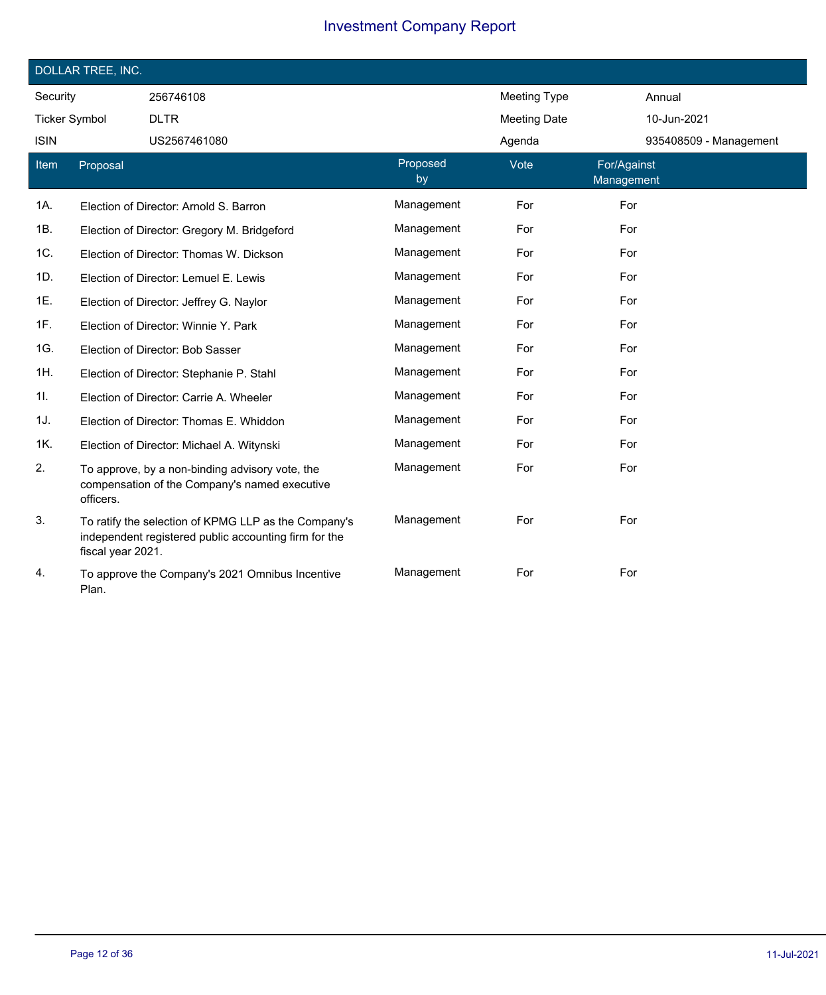|                      | DOLLAR TREE, INC. |                                                                                                               |                |                     |                           |
|----------------------|-------------------|---------------------------------------------------------------------------------------------------------------|----------------|---------------------|---------------------------|
| Security             |                   | 256746108                                                                                                     |                | <b>Meeting Type</b> | Annual                    |
| <b>Ticker Symbol</b> |                   | <b>DLTR</b>                                                                                                   |                | <b>Meeting Date</b> | 10-Jun-2021               |
| <b>ISIN</b>          |                   | US2567461080                                                                                                  |                | Agenda              | 935408509 - Management    |
| <b>Item</b>          | Proposal          |                                                                                                               | Proposed<br>by | Vote                | For/Against<br>Management |
| 1A.                  |                   | Election of Director: Arnold S. Barron                                                                        | Management     | For                 | For                       |
| 1B.                  |                   | Election of Director: Gregory M. Bridgeford                                                                   | Management     | For                 | For                       |
| 1C.                  |                   | Election of Director: Thomas W. Dickson                                                                       | Management     | For                 | For                       |
| 1D.                  |                   | Election of Director: Lemuel E. Lewis                                                                         | Management     | For                 | For                       |
| 1E.                  |                   | Election of Director: Jeffrey G. Naylor                                                                       | Management     | For                 | For                       |
| 1F.                  |                   | Election of Director: Winnie Y. Park                                                                          | Management     | For                 | For                       |
| 1G.                  |                   | Election of Director: Bob Sasser                                                                              | Management     | For                 | For                       |
| 1H.                  |                   | Election of Director: Stephanie P. Stahl                                                                      | Management     | For                 | For                       |
| 11.                  |                   | Election of Director: Carrie A. Wheeler                                                                       | Management     | For                 | For                       |
| 1J.                  |                   | Election of Director: Thomas E. Whiddon                                                                       | Management     | For                 | For                       |
| 1K.                  |                   | Election of Director: Michael A. Witynski                                                                     | Management     | For                 | For                       |
| 2.                   | officers.         | To approve, by a non-binding advisory vote, the<br>compensation of the Company's named executive              | Management     | For                 | For                       |
| 3.                   | fiscal year 2021. | To ratify the selection of KPMG LLP as the Company's<br>independent registered public accounting firm for the | Management     | For                 | For                       |
| 4.                   | Plan.             | To approve the Company's 2021 Omnibus Incentive                                                               | Management     | For                 | For                       |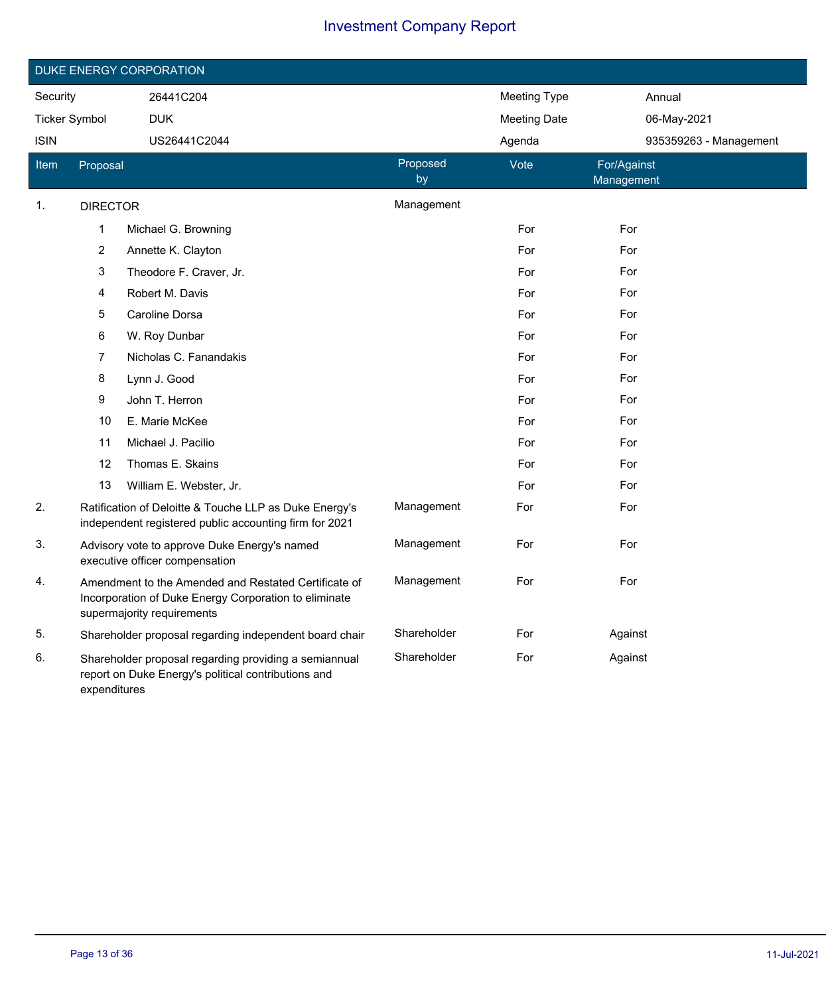|                      |                                                                                                                                             | DUKE ENERGY CORPORATION                                                                                          |                |                     |                           |  |
|----------------------|---------------------------------------------------------------------------------------------------------------------------------------------|------------------------------------------------------------------------------------------------------------------|----------------|---------------------|---------------------------|--|
| Security             |                                                                                                                                             | 26441C204                                                                                                        |                | Meeting Type        | Annual                    |  |
| <b>Ticker Symbol</b> |                                                                                                                                             | <b>DUK</b>                                                                                                       |                | <b>Meeting Date</b> | 06-May-2021               |  |
| <b>ISIN</b>          |                                                                                                                                             | US26441C2044                                                                                                     |                | Agenda              | 935359263 - Management    |  |
| ltem                 | Proposal                                                                                                                                    |                                                                                                                  | Proposed<br>by | Vote                | For/Against<br>Management |  |
| 1.                   | <b>DIRECTOR</b>                                                                                                                             |                                                                                                                  | Management     |                     |                           |  |
|                      | 1                                                                                                                                           | Michael G. Browning                                                                                              |                | For                 | For                       |  |
|                      | $\overline{c}$                                                                                                                              | Annette K. Clayton                                                                                               |                | For                 | For                       |  |
|                      | 3                                                                                                                                           | Theodore F. Craver, Jr.                                                                                          |                | For                 | For                       |  |
|                      | 4                                                                                                                                           | Robert M. Davis                                                                                                  |                | For                 | For                       |  |
|                      | 5                                                                                                                                           | Caroline Dorsa                                                                                                   |                | For                 | For                       |  |
|                      | 6                                                                                                                                           | W. Roy Dunbar                                                                                                    |                | For                 | For                       |  |
|                      | 7                                                                                                                                           | Nicholas C. Fanandakis                                                                                           |                | For                 | For                       |  |
|                      | 8                                                                                                                                           | Lynn J. Good                                                                                                     |                | For                 | For                       |  |
|                      | 9                                                                                                                                           | John T. Herron                                                                                                   |                | For                 | For                       |  |
|                      | 10                                                                                                                                          | E. Marie McKee                                                                                                   |                | For                 | For                       |  |
|                      | 11                                                                                                                                          | Michael J. Pacilio                                                                                               |                | For                 | For                       |  |
|                      | 12                                                                                                                                          | Thomas E. Skains                                                                                                 |                | For                 | For                       |  |
|                      | 13                                                                                                                                          | William E. Webster, Jr.                                                                                          |                | For                 | For                       |  |
| 2.                   |                                                                                                                                             | Ratification of Deloitte & Touche LLP as Duke Energy's<br>independent registered public accounting firm for 2021 | Management     | For                 | For                       |  |
| 3.                   |                                                                                                                                             | Advisory vote to approve Duke Energy's named<br>executive officer compensation                                   | Management     | For                 | For                       |  |
| 4.                   | Amendment to the Amended and Restated Certificate of<br>Incorporation of Duke Energy Corporation to eliminate<br>supermajority requirements |                                                                                                                  | Management     | For                 | For                       |  |
| 5.                   |                                                                                                                                             | Shareholder proposal regarding independent board chair                                                           | Shareholder    | For                 | Against                   |  |
| 6.                   | expenditures                                                                                                                                | Shareholder proposal regarding providing a semiannual<br>report on Duke Energy's political contributions and     | Shareholder    | For                 | Against                   |  |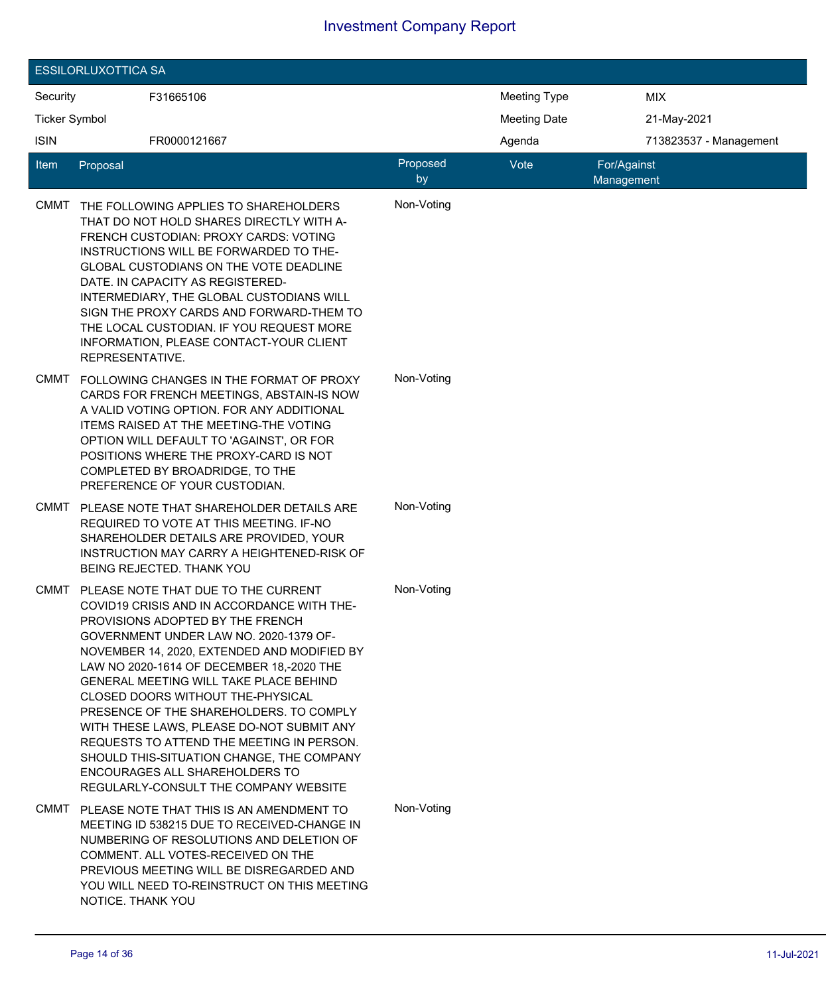|                      | <b>ESSILORLUXOTTICA SA</b> |                                                                                                                                                                                                                                                                                                                                                                                                                                                                                                                                                                                                          |                |                     |                           |                        |
|----------------------|----------------------------|----------------------------------------------------------------------------------------------------------------------------------------------------------------------------------------------------------------------------------------------------------------------------------------------------------------------------------------------------------------------------------------------------------------------------------------------------------------------------------------------------------------------------------------------------------------------------------------------------------|----------------|---------------------|---------------------------|------------------------|
| Security             |                            | F31665106                                                                                                                                                                                                                                                                                                                                                                                                                                                                                                                                                                                                |                | <b>Meeting Type</b> |                           | <b>MIX</b>             |
| <b>Ticker Symbol</b> |                            |                                                                                                                                                                                                                                                                                                                                                                                                                                                                                                                                                                                                          |                | <b>Meeting Date</b> |                           | 21-May-2021            |
| <b>ISIN</b>          |                            | FR0000121667                                                                                                                                                                                                                                                                                                                                                                                                                                                                                                                                                                                             |                | Agenda              |                           | 713823537 - Management |
| Item                 | Proposal                   |                                                                                                                                                                                                                                                                                                                                                                                                                                                                                                                                                                                                          | Proposed<br>by | Vote                | For/Against<br>Management |                        |
| CMMT                 | REPRESENTATIVE.            | THE FOLLOWING APPLIES TO SHAREHOLDERS<br>THAT DO NOT HOLD SHARES DIRECTLY WITH A-<br>FRENCH CUSTODIAN: PROXY CARDS: VOTING<br>INSTRUCTIONS WILL BE FORWARDED TO THE-<br>GLOBAL CUSTODIANS ON THE VOTE DEADLINE<br>DATE. IN CAPACITY AS REGISTERED-<br>INTERMEDIARY, THE GLOBAL CUSTODIANS WILL<br>SIGN THE PROXY CARDS AND FORWARD-THEM TO<br>THE LOCAL CUSTODIAN. IF YOU REQUEST MORE<br>INFORMATION, PLEASE CONTACT-YOUR CLIENT                                                                                                                                                                        | Non-Voting     |                     |                           |                        |
| <b>CMMT</b>          |                            | FOLLOWING CHANGES IN THE FORMAT OF PROXY<br>CARDS FOR FRENCH MEETINGS, ABSTAIN-IS NOW<br>A VALID VOTING OPTION. FOR ANY ADDITIONAL<br>ITEMS RAISED AT THE MEETING-THE VOTING<br>OPTION WILL DEFAULT TO 'AGAINST', OR FOR<br>POSITIONS WHERE THE PROXY-CARD IS NOT<br>COMPLETED BY BROADRIDGE, TO THE<br>PREFERENCE OF YOUR CUSTODIAN.                                                                                                                                                                                                                                                                    | Non-Voting     |                     |                           |                        |
| CMMT                 |                            | PLEASE NOTE THAT SHAREHOLDER DETAILS ARE<br>REQUIRED TO VOTE AT THIS MEETING. IF-NO<br>SHAREHOLDER DETAILS ARE PROVIDED, YOUR<br>INSTRUCTION MAY CARRY A HEIGHTENED-RISK OF<br>BEING REJECTED. THANK YOU                                                                                                                                                                                                                                                                                                                                                                                                 | Non-Voting     |                     |                           |                        |
| <b>CMMT</b>          |                            | PLEASE NOTE THAT DUE TO THE CURRENT<br>COVID19 CRISIS AND IN ACCORDANCE WITH THE-<br>PROVISIONS ADOPTED BY THE FRENCH.<br>GOVERNMENT UNDER LAW NO. 2020-1379 OF-<br>NOVEMBER 14, 2020, EXTENDED AND MODIFIED BY<br>LAW NO 2020-1614 OF DECEMBER 18,-2020 THE<br>GENERAL MEETING WILL TAKE PLACE BEHIND<br>CLOSED DOORS WITHOUT THE-PHYSICAL<br>PRESENCE OF THE SHAREHOLDERS. TO COMPLY<br>WITH THESE LAWS, PLEASE DO-NOT SUBMIT ANY<br>REQUESTS TO ATTEND THE MEETING IN PERSON.<br>SHOULD THIS-SITUATION CHANGE, THE COMPANY<br>ENCOURAGES ALL SHAREHOLDERS TO<br>REGULARLY-CONSULT THE COMPANY WEBSITE | Non-Voting     |                     |                           |                        |
|                      | NOTICE. THANK YOU          | CMMT PLEASE NOTE THAT THIS IS AN AMENDMENT TO<br>MEETING ID 538215 DUE TO RECEIVED-CHANGE IN<br>NUMBERING OF RESOLUTIONS AND DELETION OF<br>COMMENT. ALL VOTES-RECEIVED ON THE<br>PREVIOUS MEETING WILL BE DISREGARDED AND<br>YOU WILL NEED TO-REINSTRUCT ON THIS MEETING                                                                                                                                                                                                                                                                                                                                | Non-Voting     |                     |                           |                        |

I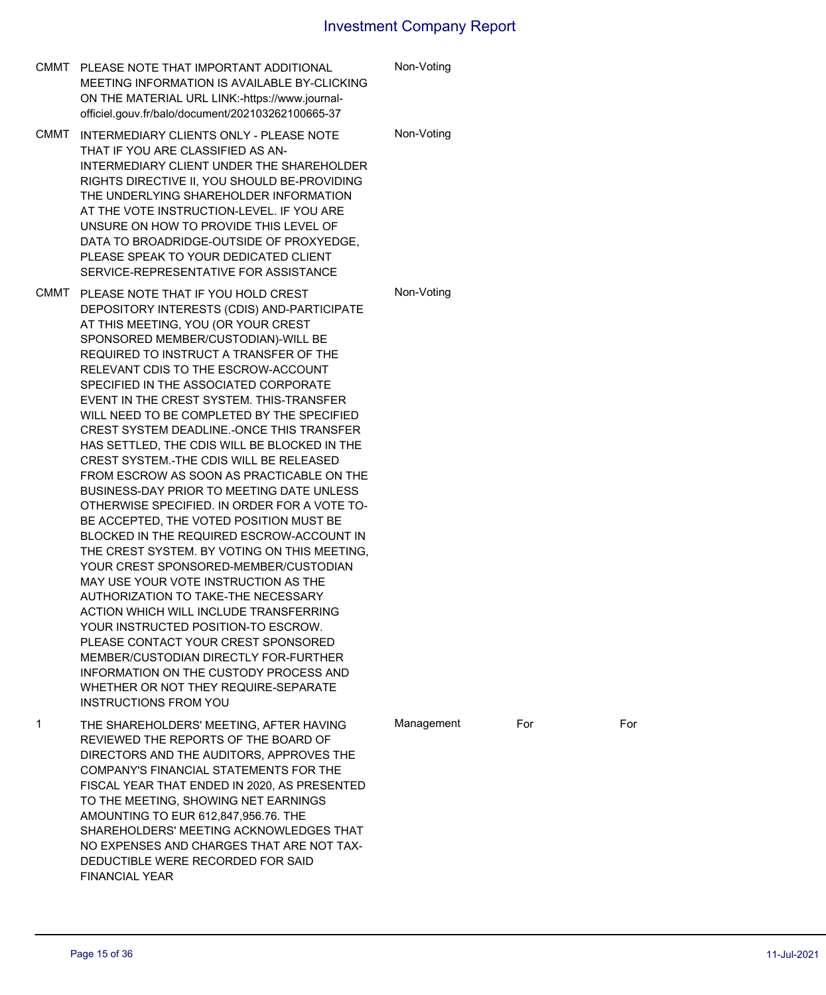|      | CMMT PLEASE NOTE THAT IMPORTANT ADDITIONAL<br>MEETING INFORMATION IS AVAILABLE BY-CLICKING<br>ON THE MATERIAL URL LINK:-https://www.journal-<br>officiel.gouv.fr/balo/document/202103262100665-37                                                                                                                                                                                                                                                                                                                                                                                                                                                                                                                                                                                                                                                                                                                                                                                                                                                                                                                                                                                                                        | Non-Voting |     |     |
|------|--------------------------------------------------------------------------------------------------------------------------------------------------------------------------------------------------------------------------------------------------------------------------------------------------------------------------------------------------------------------------------------------------------------------------------------------------------------------------------------------------------------------------------------------------------------------------------------------------------------------------------------------------------------------------------------------------------------------------------------------------------------------------------------------------------------------------------------------------------------------------------------------------------------------------------------------------------------------------------------------------------------------------------------------------------------------------------------------------------------------------------------------------------------------------------------------------------------------------|------------|-----|-----|
| CMMT | INTERMEDIARY CLIENTS ONLY - PLEASE NOTE<br>THAT IF YOU ARE CLASSIFIED AS AN-<br>INTERMEDIARY CLIENT UNDER THE SHAREHOLDER<br>RIGHTS DIRECTIVE II, YOU SHOULD BE-PROVIDING<br>THE UNDERLYING SHAREHOLDER INFORMATION<br>AT THE VOTE INSTRUCTION-LEVEL. IF YOU ARE<br>UNSURE ON HOW TO PROVIDE THIS LEVEL OF<br>DATA TO BROADRIDGE-OUTSIDE OF PROXYEDGE.<br>PLEASE SPEAK TO YOUR DEDICATED CLIENT<br>SERVICE-REPRESENTATIVE FOR ASSISTANCE                                                                                                                                                                                                                                                                                                                                                                                                                                                                                                                                                                                                                                                                                                                                                                                 | Non-Voting |     |     |
| CMMT | PLEASE NOTE THAT IF YOU HOLD CREST<br>DEPOSITORY INTERESTS (CDIS) AND-PARTICIPATE<br>AT THIS MEETING, YOU (OR YOUR CREST<br>SPONSORED MEMBER/CUSTODIAN)-WILL BE<br>REQUIRED TO INSTRUCT A TRANSFER OF THE<br>RELEVANT CDIS TO THE ESCROW-ACCOUNT<br>SPECIFIED IN THE ASSOCIATED CORPORATE<br>EVENT IN THE CREST SYSTEM. THIS-TRANSFER<br>WILL NEED TO BE COMPLETED BY THE SPECIFIED<br>CREST SYSTEM DEADLINE.-ONCE THIS TRANSFER<br>HAS SETTLED, THE CDIS WILL BE BLOCKED IN THE<br>CREST SYSTEM.-THE CDIS WILL BE RELEASED<br>FROM ESCROW AS SOON AS PRACTICABLE ON THE<br>BUSINESS-DAY PRIOR TO MEETING DATE UNLESS<br>OTHERWISE SPECIFIED. IN ORDER FOR A VOTE TO-<br>BE ACCEPTED, THE VOTED POSITION MUST BE<br>BLOCKED IN THE REQUIRED ESCROW-ACCOUNT IN<br>THE CREST SYSTEM. BY VOTING ON THIS MEETING,<br>YOUR CREST SPONSORED-MEMBER/CUSTODIAN<br>MAY USE YOUR VOTE INSTRUCTION AS THE<br>AUTHORIZATION TO TAKE-THE NECESSARY<br>ACTION WHICH WILL INCLUDE TRANSFERRING<br>YOUR INSTRUCTED POSITION-TO ESCROW.<br>PLEASE CONTACT YOUR CREST SPONSORED<br>MEMBER/CUSTODIAN DIRECTLY FOR-FURTHER<br>INFORMATION ON THE CUSTODY PROCESS AND<br>WHETHER OR NOT THEY REQUIRE-SEPARATE<br><b>INSTRUCTIONS FROM YOU</b> | Non-Voting |     |     |
| 1    | THE SHAREHOLDERS' MEETING, AFTER HAVING<br>REVIEWED THE REPORTS OF THE BOARD OF<br>DIRECTORS AND THE AUDITORS, APPROVES THE<br>COMPANY'S FINANCIAL STATEMENTS FOR THE<br>FISCAL YEAR THAT ENDED IN 2020, AS PRESENTED<br>TO THE MEETING, SHOWING NET EARNINGS<br>AMOUNTING TO EUR 612,847,956.76. THE<br>SHAREHOLDERS' MEETING ACKNOWLEDGES THAT<br>NO EXPENSES AND CHARGES THAT ARE NOT TAX-<br>DEDUCTIBLE WERE RECORDED FOR SAID<br><b>FINANCIAL YEAR</b>                                                                                                                                                                                                                                                                                                                                                                                                                                                                                                                                                                                                                                                                                                                                                              | Management | For | For |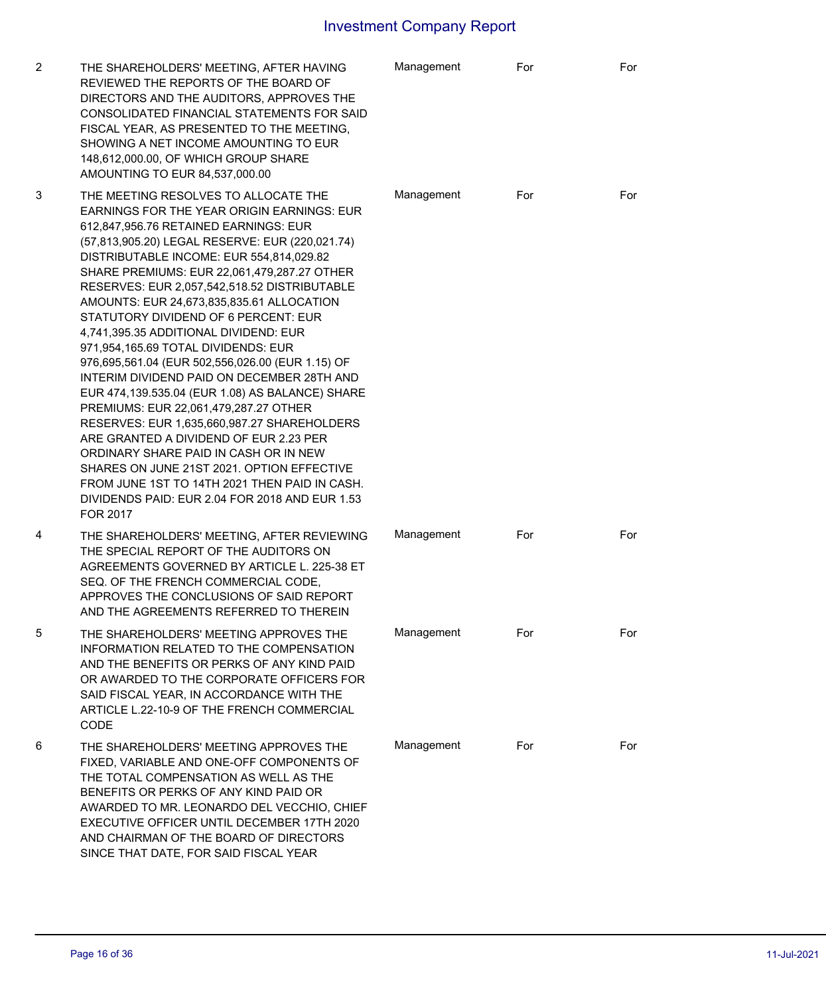| 2 | THE SHAREHOLDERS' MEETING, AFTER HAVING<br>REVIEWED THE REPORTS OF THE BOARD OF<br>DIRECTORS AND THE AUDITORS, APPROVES THE<br>CONSOLIDATED FINANCIAL STATEMENTS FOR SAID<br>FISCAL YEAR, AS PRESENTED TO THE MEETING,<br>SHOWING A NET INCOME AMOUNTING TO EUR<br>148,612,000.00, OF WHICH GROUP SHARE<br>AMOUNTING TO EUR 84,537,000.00                                                                                                                                                                                                                                                                                                                                                                                                                                                                                                                                                                                                                                                          | Management | For | For |
|---|----------------------------------------------------------------------------------------------------------------------------------------------------------------------------------------------------------------------------------------------------------------------------------------------------------------------------------------------------------------------------------------------------------------------------------------------------------------------------------------------------------------------------------------------------------------------------------------------------------------------------------------------------------------------------------------------------------------------------------------------------------------------------------------------------------------------------------------------------------------------------------------------------------------------------------------------------------------------------------------------------|------------|-----|-----|
| 3 | THE MEETING RESOLVES TO ALLOCATE THE<br><b>EARNINGS FOR THE YEAR ORIGIN EARNINGS: EUR</b><br>612,847,956.76 RETAINED EARNINGS: EUR<br>(57,813,905.20) LEGAL RESERVE: EUR (220,021.74)<br>DISTRIBUTABLE INCOME: EUR 554,814,029.82<br>SHARE PREMIUMS: EUR 22,061,479,287.27 OTHER<br>RESERVES: EUR 2,057,542,518.52 DISTRIBUTABLE<br>AMOUNTS: EUR 24,673,835,835.61 ALLOCATION<br>STATUTORY DIVIDEND OF 6 PERCENT: EUR<br>4,741,395.35 ADDITIONAL DIVIDEND: EUR<br>971,954,165.69 TOTAL DIVIDENDS: EUR<br>976,695,561.04 (EUR 502,556,026.00 (EUR 1.15) OF<br>INTERIM DIVIDEND PAID ON DECEMBER 28TH AND<br>EUR 474,139.535.04 (EUR 1.08) AS BALANCE) SHARE<br>PREMIUMS: EUR 22,061,479,287.27 OTHER<br>RESERVES: EUR 1,635,660,987.27 SHAREHOLDERS<br>ARE GRANTED A DIVIDEND OF EUR 2.23 PER<br>ORDINARY SHARE PAID IN CASH OR IN NEW<br>SHARES ON JUNE 21ST 2021, OPTION EFFECTIVE<br>FROM JUNE 1ST TO 14TH 2021 THEN PAID IN CASH.<br>DIVIDENDS PAID: EUR 2.04 FOR 2018 AND EUR 1.53<br>FOR 2017 | Management | For | For |
| 4 | THE SHAREHOLDERS' MEETING, AFTER REVIEWING<br>THE SPECIAL REPORT OF THE AUDITORS ON<br>AGREEMENTS GOVERNED BY ARTICLE L. 225-38 ET<br>SEQ. OF THE FRENCH COMMERCIAL CODE,<br>APPROVES THE CONCLUSIONS OF SAID REPORT<br>AND THE AGREEMENTS REFERRED TO THEREIN                                                                                                                                                                                                                                                                                                                                                                                                                                                                                                                                                                                                                                                                                                                                     | Management | For | For |
| 5 | THE SHAREHOLDERS' MEETING APPROVES THE<br>INFORMATION RELATED TO THE COMPENSATION<br>AND THE BENEFITS OR PERKS OF ANY KIND PAID<br>OR AWARDED TO THE CORPORATE OFFICERS FOR<br>SAID FISCAL YEAR, IN ACCORDANCE WITH THE<br>ARTICLE L.22-10-9 OF THE FRENCH COMMERCIAL<br>CODE                                                                                                                                                                                                                                                                                                                                                                                                                                                                                                                                                                                                                                                                                                                      | Management | For | For |
| 6 | THE SHAREHOLDERS' MEETING APPROVES THE<br>FIXED, VARIABLE AND ONE-OFF COMPONENTS OF<br>THE TOTAL COMPENSATION AS WELL AS THE<br>BENEFITS OR PERKS OF ANY KIND PAID OR<br>AWARDED TO MR. LEONARDO DEL VECCHIO, CHIEF<br>EXECUTIVE OFFICER UNTIL DECEMBER 17TH 2020<br>AND CHAIRMAN OF THE BOARD OF DIRECTORS<br>SINCE THAT DATE, FOR SAID FISCAL YEAR                                                                                                                                                                                                                                                                                                                                                                                                                                                                                                                                                                                                                                               | Management | For | For |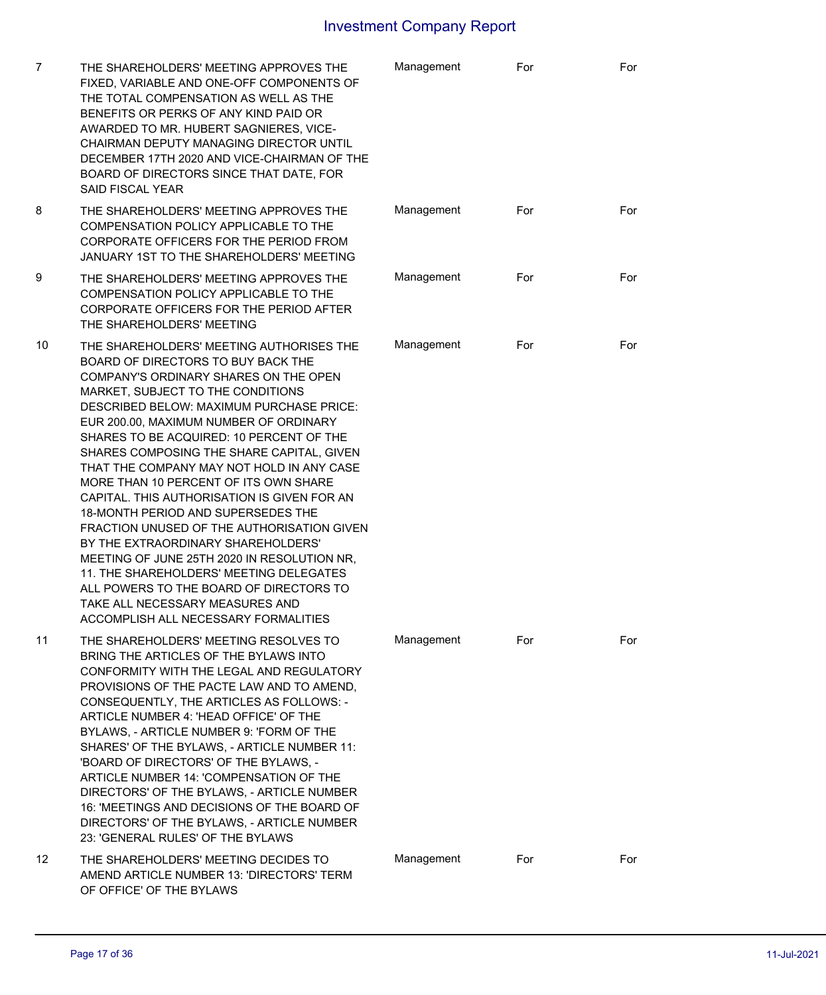| 7  | THE SHAREHOLDERS' MEETING APPROVES THE<br>FIXED, VARIABLE AND ONE-OFF COMPONENTS OF<br>THE TOTAL COMPENSATION AS WELL AS THE<br>BENEFITS OR PERKS OF ANY KIND PAID OR<br>AWARDED TO MR. HUBERT SAGNIERES, VICE-<br>CHAIRMAN DEPUTY MANAGING DIRECTOR UNTIL<br>DECEMBER 17TH 2020 AND VICE-CHAIRMAN OF THE<br>BOARD OF DIRECTORS SINCE THAT DATE, FOR<br><b>SAID FISCAL YEAR</b>                                                                                                                                                                                                                                                                                                                                                                                                                                            | Management | For | For |
|----|----------------------------------------------------------------------------------------------------------------------------------------------------------------------------------------------------------------------------------------------------------------------------------------------------------------------------------------------------------------------------------------------------------------------------------------------------------------------------------------------------------------------------------------------------------------------------------------------------------------------------------------------------------------------------------------------------------------------------------------------------------------------------------------------------------------------------|------------|-----|-----|
| 8  | THE SHAREHOLDERS' MEETING APPROVES THE<br>COMPENSATION POLICY APPLICABLE TO THE<br>CORPORATE OFFICERS FOR THE PERIOD FROM<br>JANUARY 1ST TO THE SHAREHOLDERS' MEETING                                                                                                                                                                                                                                                                                                                                                                                                                                                                                                                                                                                                                                                      | Management | For | For |
| 9  | THE SHAREHOLDERS' MEETING APPROVES THE<br>COMPENSATION POLICY APPLICABLE TO THE<br>CORPORATE OFFICERS FOR THE PERIOD AFTER<br>THE SHAREHOLDERS' MEETING                                                                                                                                                                                                                                                                                                                                                                                                                                                                                                                                                                                                                                                                    | Management | For | For |
| 10 | THE SHAREHOLDERS' MEETING AUTHORISES THE<br>BOARD OF DIRECTORS TO BUY BACK THE<br>COMPANY'S ORDINARY SHARES ON THE OPEN<br>MARKET, SUBJECT TO THE CONDITIONS<br>DESCRIBED BELOW: MAXIMUM PURCHASE PRICE:<br>EUR 200.00, MAXIMUM NUMBER OF ORDINARY<br>SHARES TO BE ACQUIRED: 10 PERCENT OF THE<br>SHARES COMPOSING THE SHARE CAPITAL, GIVEN<br>THAT THE COMPANY MAY NOT HOLD IN ANY CASE<br>MORE THAN 10 PERCENT OF ITS OWN SHARE<br>CAPITAL. THIS AUTHORISATION IS GIVEN FOR AN<br>18-MONTH PERIOD AND SUPERSEDES THE<br>FRACTION UNUSED OF THE AUTHORISATION GIVEN<br>BY THE EXTRAORDINARY SHAREHOLDERS'<br>MEETING OF JUNE 25TH 2020 IN RESOLUTION NR,<br>11. THE SHAREHOLDERS' MEETING DELEGATES<br>ALL POWERS TO THE BOARD OF DIRECTORS TO<br>TAKE ALL NECESSARY MEASURES AND<br>ACCOMPLISH ALL NECESSARY FORMALITIES | Management | For | For |
| 11 | THE SHAREHOLDERS' MEETING RESOLVES TO<br>BRING THE ARTICLES OF THE BYLAWS INTO<br>CONFORMITY WITH THE LEGAL AND REGULATORY<br>PROVISIONS OF THE PACTE LAW AND TO AMEND,<br>CONSEQUENTLY, THE ARTICLES AS FOLLOWS: -<br>ARTICLE NUMBER 4: 'HEAD OFFICE' OF THE<br>BYLAWS, - ARTICLE NUMBER 9: 'FORM OF THE<br>SHARES' OF THE BYLAWS, - ARTICLE NUMBER 11:<br>'BOARD OF DIRECTORS' OF THE BYLAWS, -<br>ARTICLE NUMBER 14: 'COMPENSATION OF THE<br>DIRECTORS' OF THE BYLAWS, - ARTICLE NUMBER<br>16: 'MEETINGS AND DECISIONS OF THE BOARD OF<br>DIRECTORS' OF THE BYLAWS, - ARTICLE NUMBER<br>23: 'GENERAL RULES' OF THE BYLAWS                                                                                                                                                                                               | Management | For | For |
| 12 | THE SHAREHOLDERS' MEETING DECIDES TO<br>AMEND ARTICLE NUMBER 13: 'DIRECTORS' TERM<br>OF OFFICE' OF THE BYLAWS                                                                                                                                                                                                                                                                                                                                                                                                                                                                                                                                                                                                                                                                                                              | Management | For | For |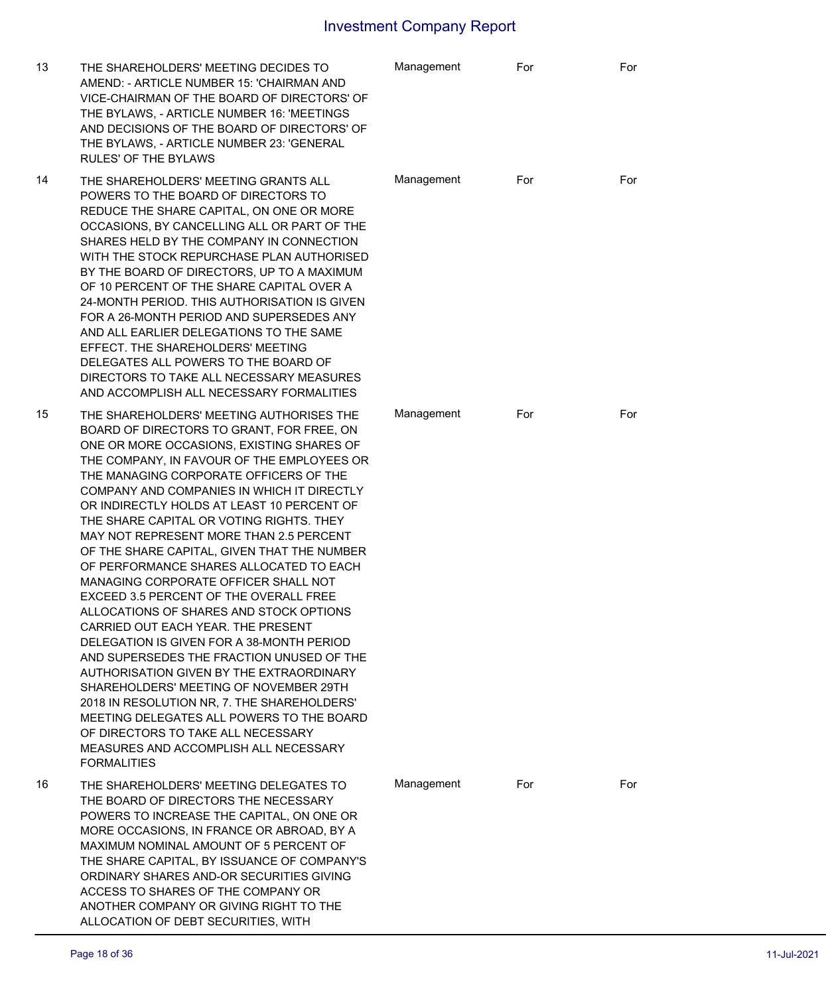| 13 | THE SHAREHOLDERS' MEETING DECIDES TO<br>AMEND: - ARTICLE NUMBER 15: 'CHAIRMAN AND<br>VICE-CHAIRMAN OF THE BOARD OF DIRECTORS' OF<br>THE BYLAWS, - ARTICLE NUMBER 16: 'MEETINGS<br>AND DECISIONS OF THE BOARD OF DIRECTORS' OF<br>THE BYLAWS, - ARTICLE NUMBER 23: 'GENERAL<br><b>RULES' OF THE BYLAWS</b>                                                                                                                                                                                                                                                                                                                                                                                                                                                                                                                                                                                                                                                                                                                                                   | Management | For | For |
|----|-------------------------------------------------------------------------------------------------------------------------------------------------------------------------------------------------------------------------------------------------------------------------------------------------------------------------------------------------------------------------------------------------------------------------------------------------------------------------------------------------------------------------------------------------------------------------------------------------------------------------------------------------------------------------------------------------------------------------------------------------------------------------------------------------------------------------------------------------------------------------------------------------------------------------------------------------------------------------------------------------------------------------------------------------------------|------------|-----|-----|
| 14 | THE SHAREHOLDERS' MEETING GRANTS ALL<br>POWERS TO THE BOARD OF DIRECTORS TO<br>REDUCE THE SHARE CAPITAL, ON ONE OR MORE<br>OCCASIONS, BY CANCELLING ALL OR PART OF THE<br>SHARES HELD BY THE COMPANY IN CONNECTION<br>WITH THE STOCK REPURCHASE PLAN AUTHORISED<br>BY THE BOARD OF DIRECTORS, UP TO A MAXIMUM<br>OF 10 PERCENT OF THE SHARE CAPITAL OVER A<br>24-MONTH PERIOD. THIS AUTHORISATION IS GIVEN<br>FOR A 26-MONTH PERIOD AND SUPERSEDES ANY<br>AND ALL EARLIER DELEGATIONS TO THE SAME<br>EFFECT. THE SHAREHOLDERS' MEETING<br>DELEGATES ALL POWERS TO THE BOARD OF<br>DIRECTORS TO TAKE ALL NECESSARY MEASURES<br>AND ACCOMPLISH ALL NECESSARY FORMALITIES                                                                                                                                                                                                                                                                                                                                                                                      | Management | For | For |
| 15 | THE SHAREHOLDERS' MEETING AUTHORISES THE<br>BOARD OF DIRECTORS TO GRANT, FOR FREE, ON<br>ONE OR MORE OCCASIONS, EXISTING SHARES OF<br>THE COMPANY, IN FAVOUR OF THE EMPLOYEES OR<br>THE MANAGING CORPORATE OFFICERS OF THE<br>COMPANY AND COMPANIES IN WHICH IT DIRECTLY<br>OR INDIRECTLY HOLDS AT LEAST 10 PERCENT OF<br>THE SHARE CAPITAL OR VOTING RIGHTS. THEY<br>MAY NOT REPRESENT MORE THAN 2.5 PERCENT<br>OF THE SHARE CAPITAL, GIVEN THAT THE NUMBER<br>OF PERFORMANCE SHARES ALLOCATED TO EACH<br>MANAGING CORPORATE OFFICER SHALL NOT<br>EXCEED 3.5 PERCENT OF THE OVERALL FREE<br>ALLOCATIONS OF SHARES AND STOCK OPTIONS<br>CARRIED OUT EACH YEAR. THE PRESENT<br>DELEGATION IS GIVEN FOR A 38-MONTH PERIOD<br>AND SUPERSEDES THE FRACTION UNUSED OF THE<br>AUTHORISATION GIVEN BY THE EXTRAORDINARY<br>SHAREHOLDERS' MEETING OF NOVEMBER 29TH<br>2018 IN RESOLUTION NR, 7. THE SHAREHOLDERS'<br>MEETING DELEGATES ALL POWERS TO THE BOARD<br>OF DIRECTORS TO TAKE ALL NECESSARY<br>MEASURES AND ACCOMPLISH ALL NECESSARY<br><b>FORMALITIES</b> | Management | For | For |
| 16 | THE SHAREHOLDERS' MEETING DELEGATES TO<br>THE BOARD OF DIRECTORS THE NECESSARY<br>POWERS TO INCREASE THE CAPITAL, ON ONE OR<br>MORE OCCASIONS, IN FRANCE OR ABROAD, BY A<br>MAXIMUM NOMINAL AMOUNT OF 5 PERCENT OF<br>THE SHARE CAPITAL, BY ISSUANCE OF COMPANY'S<br>ORDINARY SHARES AND-OR SECURITIES GIVING<br>ACCESS TO SHARES OF THE COMPANY OR<br>ANOTHER COMPANY OR GIVING RIGHT TO THE<br>ALLOCATION OF DEBT SECURITIES, WITH                                                                                                                                                                                                                                                                                                                                                                                                                                                                                                                                                                                                                        | Management | For | For |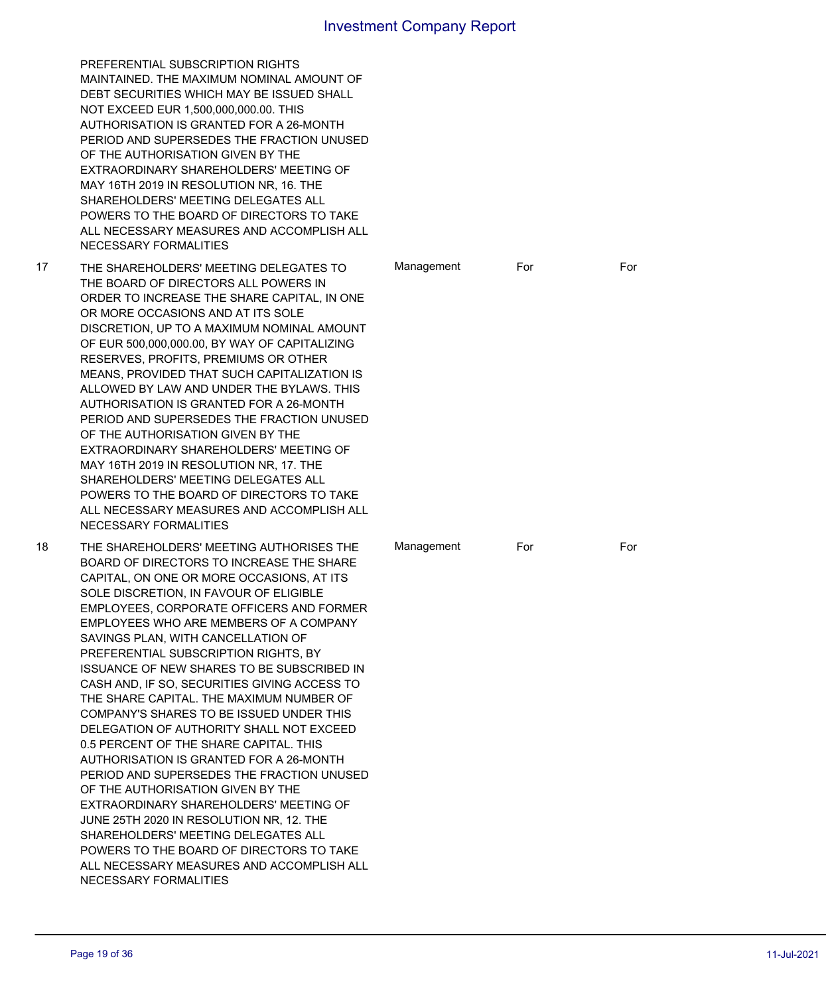|    | PREFERENTIAL SUBSCRIPTION RIGHTS<br>MAINTAINED. THE MAXIMUM NOMINAL AMOUNT OF<br>DEBT SECURITIES WHICH MAY BE ISSUED SHALL<br>NOT EXCEED EUR 1,500,000,000.00. THIS<br>AUTHORISATION IS GRANTED FOR A 26-MONTH<br>PERIOD AND SUPERSEDES THE FRACTION UNUSED<br>OF THE AUTHORISATION GIVEN BY THE<br>EXTRAORDINARY SHAREHOLDERS' MEETING OF<br>MAY 16TH 2019 IN RESOLUTION NR, 16. THE<br>SHAREHOLDERS' MEETING DELEGATES ALL<br>POWERS TO THE BOARD OF DIRECTORS TO TAKE<br>ALL NECESSARY MEASURES AND ACCOMPLISH ALL<br>NECESSARY FORMALITIES                                                                                                                                                                                                                                                                                                                                                                                                                                                          |            |     |     |
|----|---------------------------------------------------------------------------------------------------------------------------------------------------------------------------------------------------------------------------------------------------------------------------------------------------------------------------------------------------------------------------------------------------------------------------------------------------------------------------------------------------------------------------------------------------------------------------------------------------------------------------------------------------------------------------------------------------------------------------------------------------------------------------------------------------------------------------------------------------------------------------------------------------------------------------------------------------------------------------------------------------------|------------|-----|-----|
| 17 | THE SHAREHOLDERS' MEETING DELEGATES TO<br>THE BOARD OF DIRECTORS ALL POWERS IN<br>ORDER TO INCREASE THE SHARE CAPITAL, IN ONE<br>OR MORE OCCASIONS AND AT ITS SOLE<br>DISCRETION, UP TO A MAXIMUM NOMINAL AMOUNT<br>OF EUR 500,000,000.00, BY WAY OF CAPITALIZING<br>RESERVES, PROFITS, PREMIUMS OR OTHER<br>MEANS, PROVIDED THAT SUCH CAPITALIZATION IS<br>ALLOWED BY LAW AND UNDER THE BYLAWS. THIS<br>AUTHORISATION IS GRANTED FOR A 26-MONTH<br>PERIOD AND SUPERSEDES THE FRACTION UNUSED<br>OF THE AUTHORISATION GIVEN BY THE<br>EXTRAORDINARY SHAREHOLDERS' MEETING OF<br>MAY 16TH 2019 IN RESOLUTION NR, 17. THE<br>SHAREHOLDERS' MEETING DELEGATES ALL<br>POWERS TO THE BOARD OF DIRECTORS TO TAKE<br>ALL NECESSARY MEASURES AND ACCOMPLISH ALL<br>NECESSARY FORMALITIES                                                                                                                                                                                                                        | Management | For | For |
| 18 | THE SHAREHOLDERS' MEETING AUTHORISES THE<br>BOARD OF DIRECTORS TO INCREASE THE SHARE<br>CAPITAL, ON ONE OR MORE OCCASIONS, AT ITS<br>SOLE DISCRETION, IN FAVOUR OF ELIGIBLE<br>EMPLOYEES, CORPORATE OFFICERS AND FORMER<br>EMPLOYEES WHO ARE MEMBERS OF A COMPANY<br>SAVINGS PLAN, WITH CANCELLATION OF<br>PREFERENTIAL SUBSCRIPTION RIGHTS, BY<br>ISSUANCE OF NEW SHARES TO BE SUBSCRIBED IN<br>CASH AND, IF SO, SECURITIES GIVING ACCESS TO<br>THE SHARE CAPITAL. THE MAXIMUM NUMBER OF<br>COMPANY'S SHARES TO BE ISSUED UNDER THIS<br>DELEGATION OF AUTHORITY SHALL NOT EXCEED<br>0.5 PERCENT OF THE SHARE CAPITAL. THIS<br>AUTHORISATION IS GRANTED FOR A 26-MONTH<br>PERIOD AND SUPERSEDES THE FRACTION UNUSED<br>OF THE AUTHORISATION GIVEN BY THE<br>EXTRAORDINARY SHAREHOLDERS' MEETING OF<br>JUNE 25TH 2020 IN RESOLUTION NR, 12. THE<br>SHAREHOLDERS' MEETING DELEGATES ALL<br>POWERS TO THE BOARD OF DIRECTORS TO TAKE<br>ALL NECESSARY MEASURES AND ACCOMPLISH ALL<br>NECESSARY FORMALITIES | Management | For | For |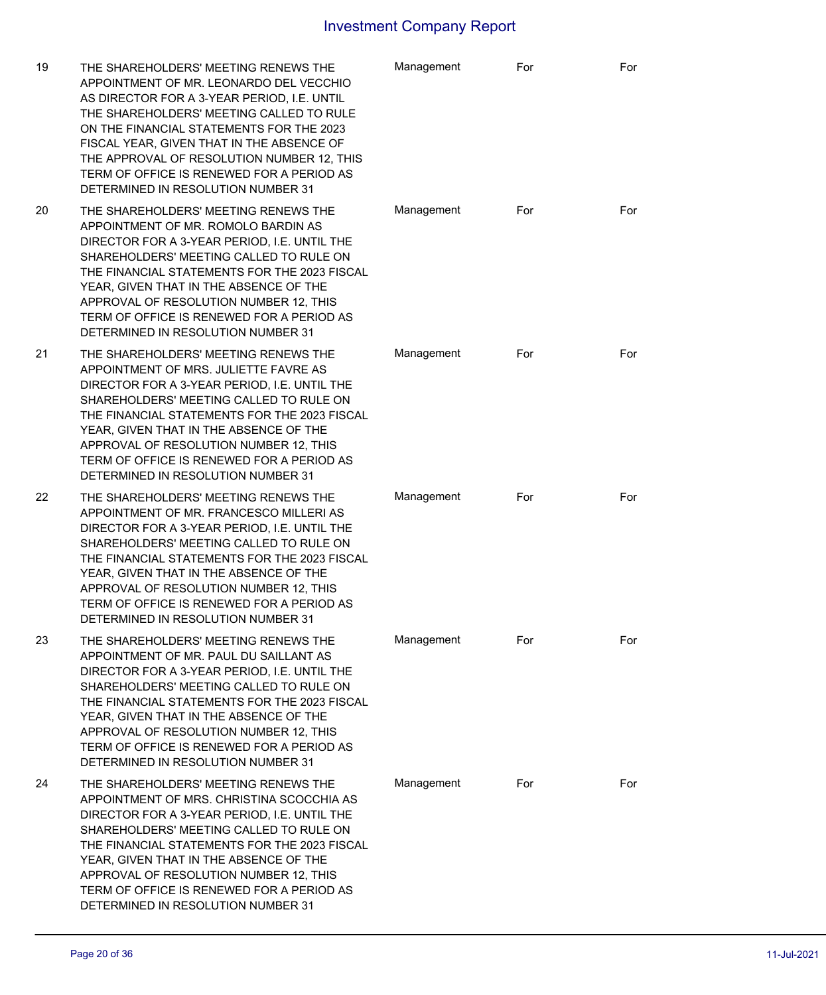| 19 | THE SHAREHOLDERS' MEETING RENEWS THE<br>APPOINTMENT OF MR. LEONARDO DEL VECCHIO<br>AS DIRECTOR FOR A 3-YEAR PERIOD, I.E. UNTIL<br>THE SHAREHOLDERS' MEETING CALLED TO RULE<br>ON THE FINANCIAL STATEMENTS FOR THE 2023<br>FISCAL YEAR, GIVEN THAT IN THE ABSENCE OF<br>THE APPROVAL OF RESOLUTION NUMBER 12, THIS<br>TERM OF OFFICE IS RENEWED FOR A PERIOD AS<br>DETERMINED IN RESOLUTION NUMBER 31 | Management | For | For |
|----|------------------------------------------------------------------------------------------------------------------------------------------------------------------------------------------------------------------------------------------------------------------------------------------------------------------------------------------------------------------------------------------------------|------------|-----|-----|
| 20 | THE SHAREHOLDERS' MEETING RENEWS THE<br>APPOINTMENT OF MR. ROMOLO BARDIN AS<br>DIRECTOR FOR A 3-YEAR PERIOD, I.E. UNTIL THE<br>SHAREHOLDERS' MEETING CALLED TO RULE ON<br>THE FINANCIAL STATEMENTS FOR THE 2023 FISCAL<br>YEAR, GIVEN THAT IN THE ABSENCE OF THE<br>APPROVAL OF RESOLUTION NUMBER 12, THIS<br>TERM OF OFFICE IS RENEWED FOR A PERIOD AS<br>DETERMINED IN RESOLUTION NUMBER 31        | Management | For | For |
| 21 | THE SHAREHOLDERS' MEETING RENEWS THE<br>APPOINTMENT OF MRS. JULIETTE FAVRE AS<br>DIRECTOR FOR A 3-YEAR PERIOD, I.E. UNTIL THE<br>SHAREHOLDERS' MEETING CALLED TO RULE ON<br>THE FINANCIAL STATEMENTS FOR THE 2023 FISCAL<br>YEAR, GIVEN THAT IN THE ABSENCE OF THE<br>APPROVAL OF RESOLUTION NUMBER 12, THIS<br>TERM OF OFFICE IS RENEWED FOR A PERIOD AS<br>DETERMINED IN RESOLUTION NUMBER 31      | Management | For | For |
| 22 | THE SHAREHOLDERS' MEETING RENEWS THE<br>APPOINTMENT OF MR. FRANCESCO MILLERI AS<br>DIRECTOR FOR A 3-YEAR PERIOD, I.E. UNTIL THE<br>SHAREHOLDERS' MEETING CALLED TO RULE ON<br>THE FINANCIAL STATEMENTS FOR THE 2023 FISCAL<br>YEAR, GIVEN THAT IN THE ABSENCE OF THE<br>APPROVAL OF RESOLUTION NUMBER 12, THIS<br>TERM OF OFFICE IS RENEWED FOR A PERIOD AS<br>DETERMINED IN RESOLUTION NUMBER 31    | Management | For | For |
| 23 | THE SHAREHOLDERS' MEETING RENEWS THE<br>APPOINTMENT OF MR. PAUL DU SAILLANT AS<br>DIRECTOR FOR A 3-YEAR PERIOD, I.E. UNTIL THE<br>SHAREHOLDERS' MEETING CALLED TO RULE ON<br>THE FINANCIAL STATEMENTS FOR THE 2023 FISCAL<br>YEAR, GIVEN THAT IN THE ABSENCE OF THE<br>APPROVAL OF RESOLUTION NUMBER 12, THIS<br>TERM OF OFFICE IS RENEWED FOR A PERIOD AS<br>DETERMINED IN RESOLUTION NUMBER 31     | Management | For | For |
| 24 | THE SHAREHOLDERS' MEETING RENEWS THE<br>APPOINTMENT OF MRS. CHRISTINA SCOCCHIA AS<br>DIRECTOR FOR A 3-YEAR PERIOD, I.E. UNTIL THE<br>SHAREHOLDERS' MEETING CALLED TO RULE ON<br>THE FINANCIAL STATEMENTS FOR THE 2023 FISCAL<br>YEAR, GIVEN THAT IN THE ABSENCE OF THE<br>APPROVAL OF RESOLUTION NUMBER 12, THIS<br>TERM OF OFFICE IS RENEWED FOR A PERIOD AS<br>DETERMINED IN RESOLUTION NUMBER 31  | Management | For | For |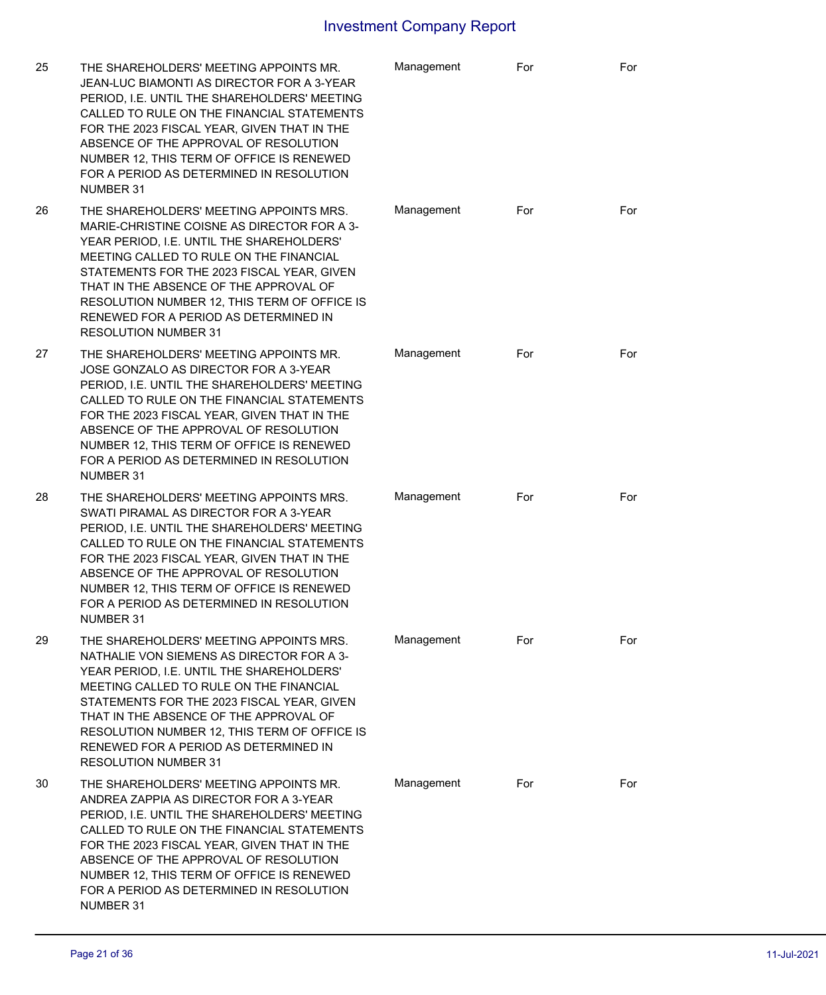| 25 | THE SHAREHOLDERS' MEETING APPOINTS MR.<br>JEAN-LUC BIAMONTI AS DIRECTOR FOR A 3-YEAR<br>PERIOD, I.E. UNTIL THE SHAREHOLDERS' MEETING<br>CALLED TO RULE ON THE FINANCIAL STATEMENTS<br>FOR THE 2023 FISCAL YEAR, GIVEN THAT IN THE<br>ABSENCE OF THE APPROVAL OF RESOLUTION<br>NUMBER 12, THIS TERM OF OFFICE IS RENEWED<br>FOR A PERIOD AS DETERMINED IN RESOLUTION<br>NUMBER 31               | Management | For | For |
|----|------------------------------------------------------------------------------------------------------------------------------------------------------------------------------------------------------------------------------------------------------------------------------------------------------------------------------------------------------------------------------------------------|------------|-----|-----|
| 26 | THE SHAREHOLDERS' MEETING APPOINTS MRS.<br>MARIE-CHRISTINE COISNE AS DIRECTOR FOR A 3-<br>YEAR PERIOD, I.E. UNTIL THE SHAREHOLDERS'<br>MEETING CALLED TO RULE ON THE FINANCIAL<br>STATEMENTS FOR THE 2023 FISCAL YEAR, GIVEN<br>THAT IN THE ABSENCE OF THE APPROVAL OF<br>RESOLUTION NUMBER 12, THIS TERM OF OFFICE IS<br>RENEWED FOR A PERIOD AS DETERMINED IN<br><b>RESOLUTION NUMBER 31</b> | Management | For | For |
| 27 | THE SHAREHOLDERS' MEETING APPOINTS MR.<br>JOSE GONZALO AS DIRECTOR FOR A 3-YEAR<br>PERIOD, I.E. UNTIL THE SHAREHOLDERS' MEETING<br>CALLED TO RULE ON THE FINANCIAL STATEMENTS<br>FOR THE 2023 FISCAL YEAR, GIVEN THAT IN THE<br>ABSENCE OF THE APPROVAL OF RESOLUTION<br>NUMBER 12, THIS TERM OF OFFICE IS RENEWED<br>FOR A PERIOD AS DETERMINED IN RESOLUTION<br>NUMBER 31                    | Management | For | For |
| 28 | THE SHAREHOLDERS' MEETING APPOINTS MRS.<br>SWATI PIRAMAL AS DIRECTOR FOR A 3-YEAR<br>PERIOD, I.E. UNTIL THE SHAREHOLDERS' MEETING<br>CALLED TO RULE ON THE FINANCIAL STATEMENTS<br>FOR THE 2023 FISCAL YEAR, GIVEN THAT IN THE<br>ABSENCE OF THE APPROVAL OF RESOLUTION<br>NUMBER 12, THIS TERM OF OFFICE IS RENEWED<br>FOR A PERIOD AS DETERMINED IN RESOLUTION<br>NUMBER 31                  | Management | For | For |
| 29 | THE SHAREHOLDERS' MEETING APPOINTS MRS.<br>NATHALIE VON SIEMENS AS DIRECTOR FOR A 3-<br>YEAR PERIOD, I.E. UNTIL THE SHAREHOLDERS'<br>MEETING CALLED TO RULE ON THE FINANCIAL<br>STATEMENTS FOR THE 2023 FISCAL YEAR, GIVEN<br>THAT IN THE ABSENCE OF THE APPROVAL OF<br>RESOLUTION NUMBER 12, THIS TERM OF OFFICE IS<br>RENEWED FOR A PERIOD AS DETERMINED IN<br><b>RESOLUTION NUMBER 31</b>   | Management | For | For |
| 30 | THE SHAREHOLDERS' MEETING APPOINTS MR.<br>ANDREA ZAPPIA AS DIRECTOR FOR A 3-YEAR<br>PERIOD, I.E. UNTIL THE SHAREHOLDERS' MEETING<br>CALLED TO RULE ON THE FINANCIAL STATEMENTS<br>FOR THE 2023 FISCAL YEAR, GIVEN THAT IN THE<br>ABSENCE OF THE APPROVAL OF RESOLUTION<br>NUMBER 12, THIS TERM OF OFFICE IS RENEWED<br>FOR A PERIOD AS DETERMINED IN RESOLUTION<br>NUMBER 31                   | Management | For | For |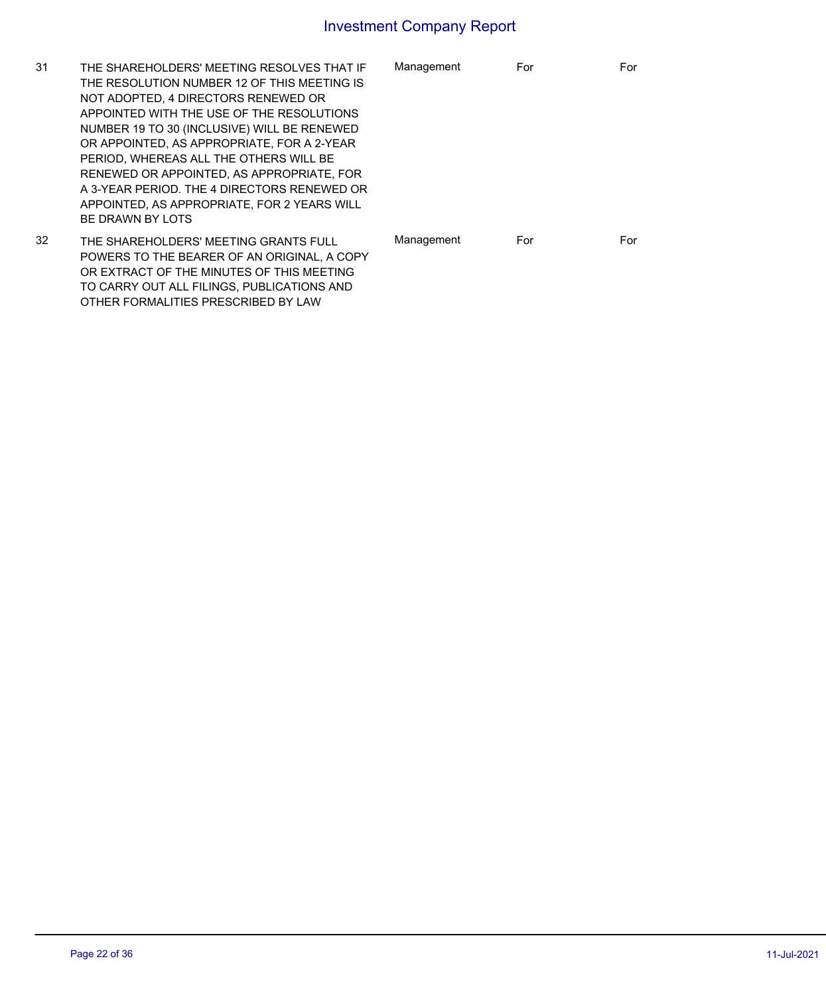| 31 | THE SHAREHOLDERS' MEETING RESOLVES THAT IF<br>THE RESOLUTION NUMBER 12 OF THIS MEETING IS<br>NOT ADOPTED, 4 DIRECTORS RENEWED OR<br>APPOINTED WITH THE USE OF THE RESOLUTIONS<br>NUMBER 19 TO 30 (INCLUSIVE) WILL BE RENEWED<br>OR APPOINTED. AS APPROPRIATE, FOR A 2-YEAR<br>PERIOD. WHEREAS ALL THE OTHERS WILL BE<br>RENEWED OR APPOINTED, AS APPROPRIATE, FOR<br>A 3-YEAR PERIOD. THE 4 DIRECTORS RENEWED OR<br>APPOINTED. AS APPROPRIATE. FOR 2 YEARS WILL | Management | For | For |
|----|-----------------------------------------------------------------------------------------------------------------------------------------------------------------------------------------------------------------------------------------------------------------------------------------------------------------------------------------------------------------------------------------------------------------------------------------------------------------|------------|-----|-----|
|    | BE DRAWN BY LOTS                                                                                                                                                                                                                                                                                                                                                                                                                                                |            |     |     |
| 32 | THE SHAREHOLDERS' MEETING GRANTS FULL<br>POWERS TO THE BEARER OF AN ORIGINAL. A COPY<br>OR EXTRACT OF THE MINUTES OF THIS MEETING<br>TO CARRY OUT ALL FILINGS, PUBLICATIONS AND                                                                                                                                                                                                                                                                                 | Management | For | For |

OTHER FORMALITIES PRESCRIBED BY LAW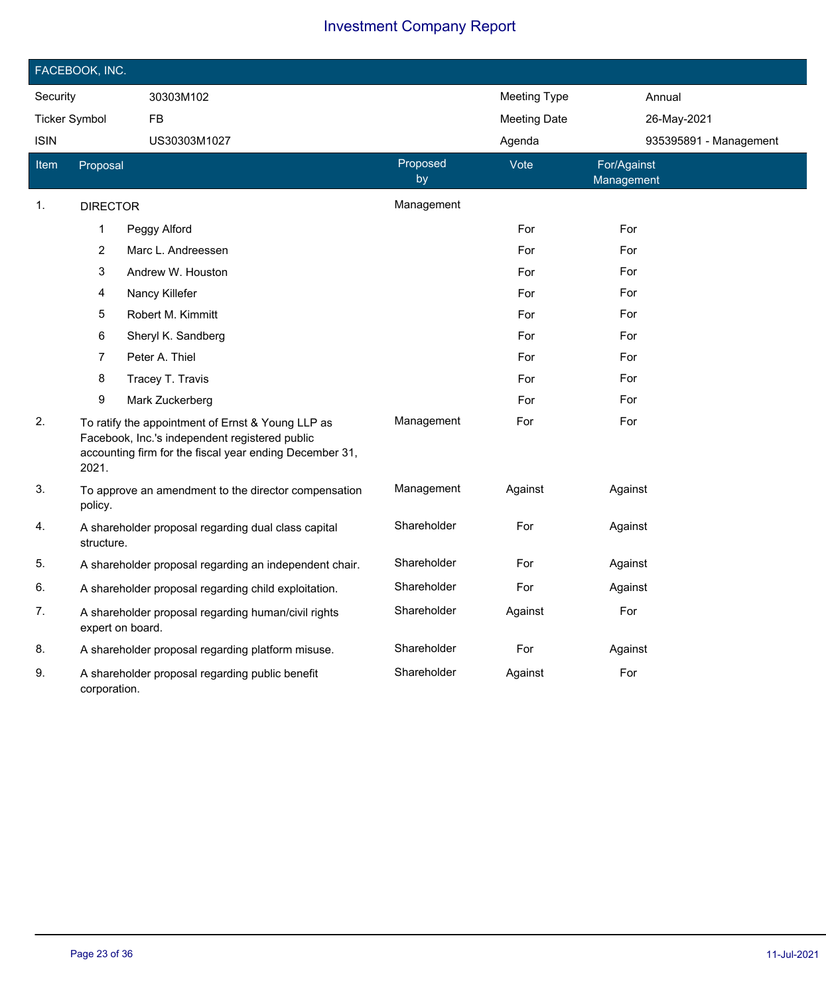| FACEBOOK, INC.       |                                                                                                                                                                         |                                                        |                |                     |                           |  |
|----------------------|-------------------------------------------------------------------------------------------------------------------------------------------------------------------------|--------------------------------------------------------|----------------|---------------------|---------------------------|--|
| Security             |                                                                                                                                                                         | 30303M102                                              |                | Meeting Type        | Annual                    |  |
| <b>Ticker Symbol</b> |                                                                                                                                                                         | <b>FB</b>                                              |                | <b>Meeting Date</b> | 26-May-2021               |  |
| <b>ISIN</b>          |                                                                                                                                                                         | US30303M1027                                           |                | Agenda              | 935395891 - Management    |  |
| Item                 | Proposal                                                                                                                                                                |                                                        | Proposed<br>by | Vote                | For/Against<br>Management |  |
| 1.                   | <b>DIRECTOR</b>                                                                                                                                                         |                                                        | Management     |                     |                           |  |
|                      | 1                                                                                                                                                                       | Peggy Alford                                           |                | For                 | For                       |  |
|                      | $\overline{c}$                                                                                                                                                          | Marc L. Andreessen                                     |                | For                 | For                       |  |
|                      | 3                                                                                                                                                                       | Andrew W. Houston                                      |                | For                 | For                       |  |
|                      | 4                                                                                                                                                                       | Nancy Killefer                                         |                | For                 | For                       |  |
|                      | 5                                                                                                                                                                       | Robert M. Kimmitt                                      |                | For                 | For                       |  |
|                      | 6                                                                                                                                                                       | Sheryl K. Sandberg                                     |                | For                 | For                       |  |
|                      | 7                                                                                                                                                                       | Peter A. Thiel                                         |                | For                 | For                       |  |
|                      | 8                                                                                                                                                                       | Tracey T. Travis                                       |                | For                 | For                       |  |
|                      | 9                                                                                                                                                                       | Mark Zuckerberg                                        |                | For                 | For                       |  |
| 2.                   | To ratify the appointment of Ernst & Young LLP as<br>Facebook, Inc.'s independent registered public<br>accounting firm for the fiscal year ending December 31,<br>2021. |                                                        | Management     | For                 | For                       |  |
| 3.                   | policy.                                                                                                                                                                 | To approve an amendment to the director compensation   | Management     | Against             | Against                   |  |
| 4.                   | structure.                                                                                                                                                              | A shareholder proposal regarding dual class capital    | Shareholder    | For                 | Against                   |  |
| 5.                   |                                                                                                                                                                         | A shareholder proposal regarding an independent chair. | Shareholder    | For                 | Against                   |  |
| 6.                   |                                                                                                                                                                         | A shareholder proposal regarding child exploitation.   | Shareholder    | For                 | Against                   |  |
| 7.                   | expert on board.                                                                                                                                                        | A shareholder proposal regarding human/civil rights    | Shareholder    | Against             | For                       |  |
| 8.                   |                                                                                                                                                                         | A shareholder proposal regarding platform misuse.      | Shareholder    | For                 | Against                   |  |
| 9.                   | corporation.                                                                                                                                                            | A shareholder proposal regarding public benefit        | Shareholder    | Against             | For                       |  |

 $\overline{\phantom{a}}$ 

Ī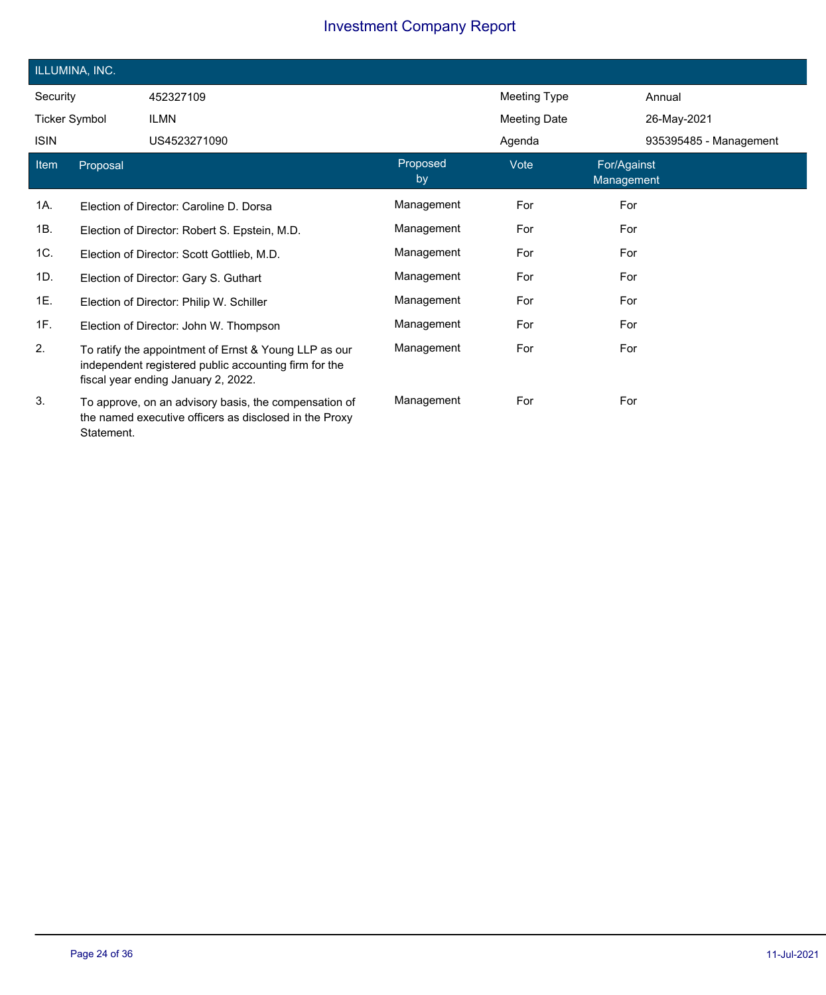|                      | ILLUMINA, INC. |                                                                                                                                                       |                |                     |                           |                        |
|----------------------|----------------|-------------------------------------------------------------------------------------------------------------------------------------------------------|----------------|---------------------|---------------------------|------------------------|
| Security             |                | 452327109                                                                                                                                             |                | Meeting Type        |                           | Annual                 |
| <b>Ticker Symbol</b> |                | <b>ILMN</b>                                                                                                                                           |                | <b>Meeting Date</b> |                           | 26-May-2021            |
| <b>ISIN</b>          |                | US4523271090                                                                                                                                          |                | Agenda              |                           | 935395485 - Management |
| Item                 | Proposal       |                                                                                                                                                       | Proposed<br>by | Vote                | For/Against<br>Management |                        |
| 1A.                  |                | Election of Director: Caroline D. Dorsa                                                                                                               | Management     | For                 | For                       |                        |
| 1B.                  |                | Election of Director: Robert S. Epstein, M.D.                                                                                                         | Management     | For                 | For                       |                        |
| 1C.                  |                | Election of Director: Scott Gottlieb, M.D.                                                                                                            | Management     | For                 | For                       |                        |
| 1D.                  |                | Election of Director: Gary S. Guthart                                                                                                                 | Management     | For                 | For                       |                        |
| 1E.                  |                | Election of Director: Philip W. Schiller                                                                                                              | Management     | For                 | For                       |                        |
| 1F.                  |                | Election of Director: John W. Thompson                                                                                                                | Management     | For                 | For                       |                        |
| 2.                   |                | To ratify the appointment of Ernst & Young LLP as our<br>independent registered public accounting firm for the<br>fiscal year ending January 2, 2022. | Management     | For                 | For                       |                        |
| 3.                   | Statement.     | To approve, on an advisory basis, the compensation of<br>the named executive officers as disclosed in the Proxy                                       | Management     | For                 | For                       |                        |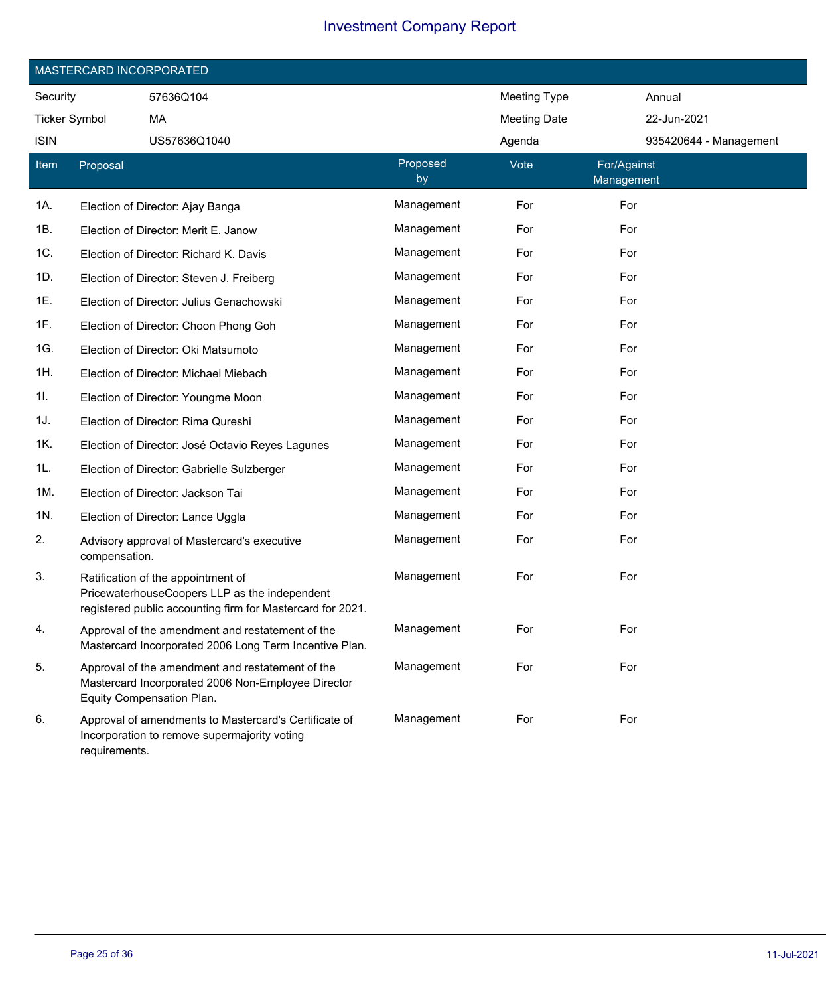|                      | MASTERCARD INCORPORATED |                                                                                                                                                   |                |                     |                           |                        |  |
|----------------------|-------------------------|---------------------------------------------------------------------------------------------------------------------------------------------------|----------------|---------------------|---------------------------|------------------------|--|
| Security             |                         | 57636Q104                                                                                                                                         |                | <b>Meeting Type</b> | Annual                    |                        |  |
| <b>Ticker Symbol</b> |                         | MA                                                                                                                                                |                | <b>Meeting Date</b> | 22-Jun-2021               |                        |  |
| <b>ISIN</b>          |                         | US57636Q1040                                                                                                                                      |                | Agenda              |                           | 935420644 - Management |  |
| Item                 | Proposal                |                                                                                                                                                   | Proposed<br>by | Vote                | For/Against<br>Management |                        |  |
| 1A.                  |                         | Election of Director: Ajay Banga                                                                                                                  | Management     | For                 | For                       |                        |  |
| 1B.                  |                         | Election of Director: Merit E. Janow                                                                                                              | Management     | For                 | For                       |                        |  |
| 1C.                  |                         | Election of Director: Richard K. Davis                                                                                                            | Management     | For                 | For                       |                        |  |
| 1D.                  |                         | Election of Director: Steven J. Freiberg                                                                                                          | Management     | For                 | For                       |                        |  |
| 1E.                  |                         | Election of Director: Julius Genachowski                                                                                                          | Management     | For                 | For                       |                        |  |
| 1F.                  |                         | Election of Director: Choon Phong Goh                                                                                                             | Management     | For                 | For                       |                        |  |
| 1G.                  |                         | Election of Director: Oki Matsumoto                                                                                                               | Management     | For                 | For                       |                        |  |
| 1H.                  |                         | Election of Director: Michael Miebach                                                                                                             | Management     | For                 | For                       |                        |  |
| 1I.                  |                         | Election of Director: Youngme Moon                                                                                                                | Management     | For                 | For                       |                        |  |
| 1J.                  |                         | Election of Director: Rima Qureshi                                                                                                                | Management     | For                 | For                       |                        |  |
| 1K.                  |                         | Election of Director: José Octavio Reyes Lagunes                                                                                                  | Management     | For                 | For                       |                        |  |
| 1L.                  |                         | Election of Director: Gabrielle Sulzberger                                                                                                        | Management     | For                 | For                       |                        |  |
| 1M.                  |                         | Election of Director: Jackson Tai                                                                                                                 | Management     | For                 | For                       |                        |  |
| 1N.                  |                         | Election of Director: Lance Uggla                                                                                                                 | Management     | For                 | For                       |                        |  |
| 2.                   | compensation.           | Advisory approval of Mastercard's executive                                                                                                       | Management     | For                 | For                       |                        |  |
| 3.                   |                         | Ratification of the appointment of<br>PricewaterhouseCoopers LLP as the independent<br>registered public accounting firm for Mastercard for 2021. | Management     | For                 | For                       |                        |  |
| 4.                   |                         | Approval of the amendment and restatement of the<br>Mastercard Incorporated 2006 Long Term Incentive Plan.                                        | Management     | For                 | For                       |                        |  |
| 5.                   |                         | Approval of the amendment and restatement of the<br>Mastercard Incorporated 2006 Non-Employee Director<br>Equity Compensation Plan.               | Management     | For                 | For                       |                        |  |
| 6.                   | requirements.           | Approval of amendments to Mastercard's Certificate of<br>Incorporation to remove supermajority voting                                             | Management     | For                 | For                       |                        |  |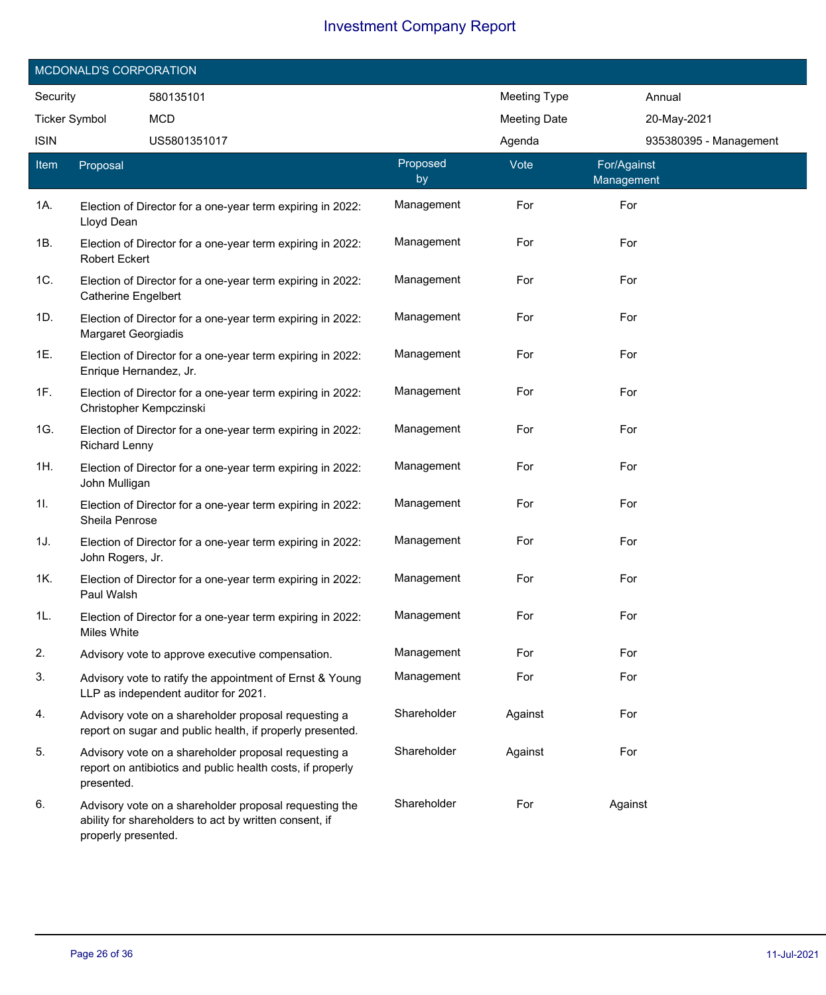|                       | MCDONALD'S CORPORATION     |                                                                                                                    |                |                     |                           |
|-----------------------|----------------------------|--------------------------------------------------------------------------------------------------------------------|----------------|---------------------|---------------------------|
| Security<br>580135101 |                            |                                                                                                                    |                | <b>Meeting Type</b> | Annual                    |
| <b>Ticker Symbol</b>  |                            | <b>MCD</b>                                                                                                         |                | <b>Meeting Date</b> | 20-May-2021               |
| <b>ISIN</b>           |                            | US5801351017                                                                                                       |                | Agenda              | 935380395 - Management    |
| Item                  | Proposal                   |                                                                                                                    | Proposed<br>by | Vote                | For/Against<br>Management |
| 1A.                   | Lloyd Dean                 | Election of Director for a one-year term expiring in 2022:                                                         | Management     | For                 | For                       |
| 1B.                   | <b>Robert Eckert</b>       | Election of Director for a one-year term expiring in 2022:                                                         | Management     | For                 | For                       |
| 1C.                   | <b>Catherine Engelbert</b> | Election of Director for a one-year term expiring in 2022:                                                         | Management     | For                 | For                       |
| 1D.                   | Margaret Georgiadis        | Election of Director for a one-year term expiring in 2022:                                                         | Management     | For                 | For                       |
| 1E.                   | Enrique Hernandez, Jr.     | Election of Director for a one-year term expiring in 2022:                                                         | Management     | For                 | For                       |
| 1F.                   | Christopher Kempczinski    | Election of Director for a one-year term expiring in 2022:                                                         | Management     | For                 | For                       |
| 1G.                   | <b>Richard Lenny</b>       | Election of Director for a one-year term expiring in 2022:                                                         | Management     | For                 | For                       |
| 1H.                   | John Mulligan              | Election of Director for a one-year term expiring in 2022:                                                         | Management     | For                 | For                       |
| 11.                   | Sheila Penrose             | Election of Director for a one-year term expiring in 2022:                                                         | Management     | For                 | For                       |
| 1J.                   | John Rogers, Jr.           | Election of Director for a one-year term expiring in 2022:                                                         | Management     | For                 | For                       |
| 1K.                   | Paul Walsh                 | Election of Director for a one-year term expiring in 2022:                                                         | Management     | For                 | For                       |
| 1L.                   | Miles White                | Election of Director for a one-year term expiring in 2022:                                                         | Management     | For                 | For                       |
| 2.                    |                            | Advisory vote to approve executive compensation.                                                                   | Management     | For                 | For                       |
| 3.                    |                            | Advisory vote to ratify the appointment of Ernst & Young<br>LLP as independent auditor for 2021.                   | Management     | For                 | For                       |
| 4.                    |                            | Advisory vote on a shareholder proposal requesting a<br>report on sugar and public health, if properly presented.  | Shareholder    | Against             | For                       |
| 5.                    | presented.                 | Advisory vote on a shareholder proposal requesting a<br>report on antibiotics and public health costs, if properly | Shareholder    | Against             | For                       |
| 6.                    | properly presented.        | Advisory vote on a shareholder proposal requesting the<br>ability for shareholders to act by written consent, if   | Shareholder    | For                 | Against                   |

 $\overline{\phantom{a}}$ 

I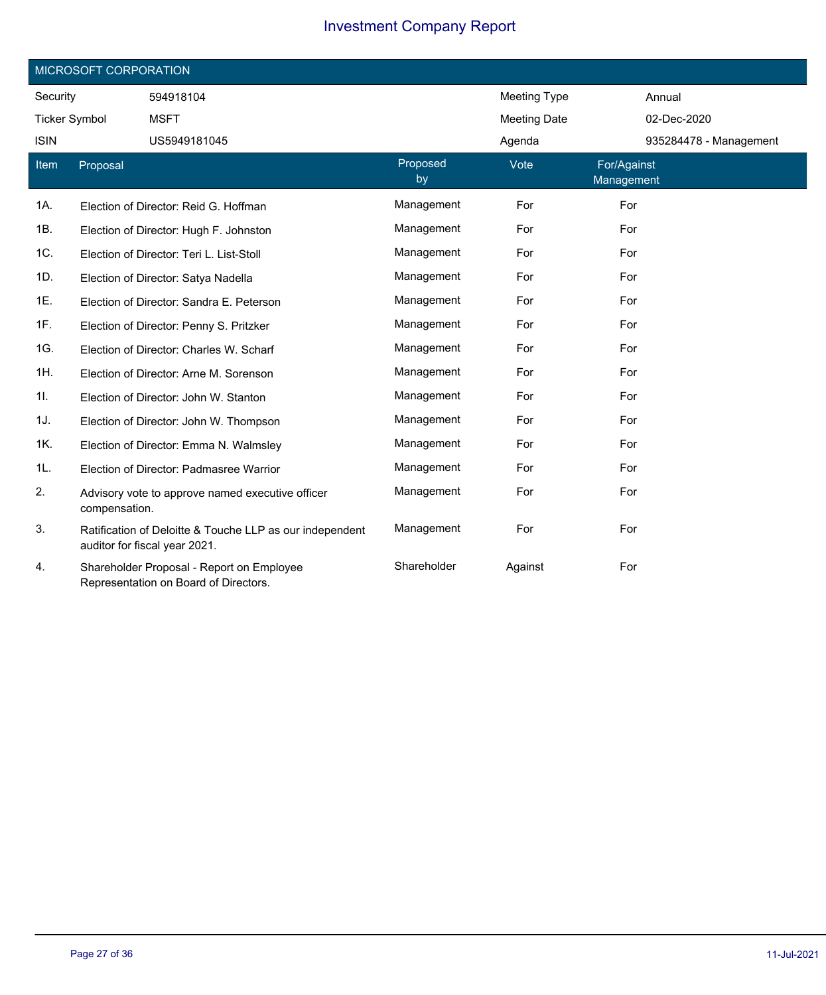| MICROSOFT CORPORATION |               |                                                                                           |                |                     |                           |  |  |
|-----------------------|---------------|-------------------------------------------------------------------------------------------|----------------|---------------------|---------------------------|--|--|
| Security              |               | 594918104                                                                                 |                | <b>Meeting Type</b> | Annual                    |  |  |
| <b>Ticker Symbol</b>  |               | <b>MSFT</b>                                                                               |                | <b>Meeting Date</b> | 02-Dec-2020               |  |  |
| <b>ISIN</b>           |               | US5949181045                                                                              |                | Agenda              | 935284478 - Management    |  |  |
| Item                  | Proposal      |                                                                                           | Proposed<br>by | Vote                | For/Against<br>Management |  |  |
| 1A.                   |               | Election of Director: Reid G. Hoffman                                                     | Management     | For                 | For                       |  |  |
| 1B.                   |               | Election of Director: Hugh F. Johnston                                                    | Management     | For                 | For                       |  |  |
| 1C.                   |               | Election of Director: Teri L. List-Stoll                                                  | Management     | For                 | For                       |  |  |
| 1D.                   |               | Election of Director: Satya Nadella                                                       | Management     | For                 | For                       |  |  |
| 1E.                   |               | Election of Director: Sandra E. Peterson                                                  | Management     | For                 | For                       |  |  |
| 1F.                   |               | Election of Director: Penny S. Pritzker                                                   | Management     | For                 | For                       |  |  |
| 1G.                   |               | Election of Director: Charles W. Scharf                                                   | Management     | For                 | For                       |  |  |
| 1H.                   |               | Election of Director: Arne M. Sorenson                                                    | Management     | For                 | For                       |  |  |
| 1I.                   |               | Election of Director: John W. Stanton                                                     | Management     | For                 | For                       |  |  |
| 1J.                   |               | Election of Director: John W. Thompson                                                    | Management     | For                 | For                       |  |  |
| 1K.                   |               | Election of Director: Emma N. Walmsley                                                    | Management     | For                 | For                       |  |  |
| 1L.                   |               | Election of Director: Padmasree Warrior                                                   | Management     | For                 | For                       |  |  |
| 2.                    | compensation. | Advisory vote to approve named executive officer                                          | Management     | For                 | For                       |  |  |
| 3.                    |               | Ratification of Deloitte & Touche LLP as our independent<br>auditor for fiscal year 2021. | Management     | For                 | For                       |  |  |
| 4.                    |               | Shareholder Proposal - Report on Employee<br>Representation on Board of Directors.        | Shareholder    | Against             | For                       |  |  |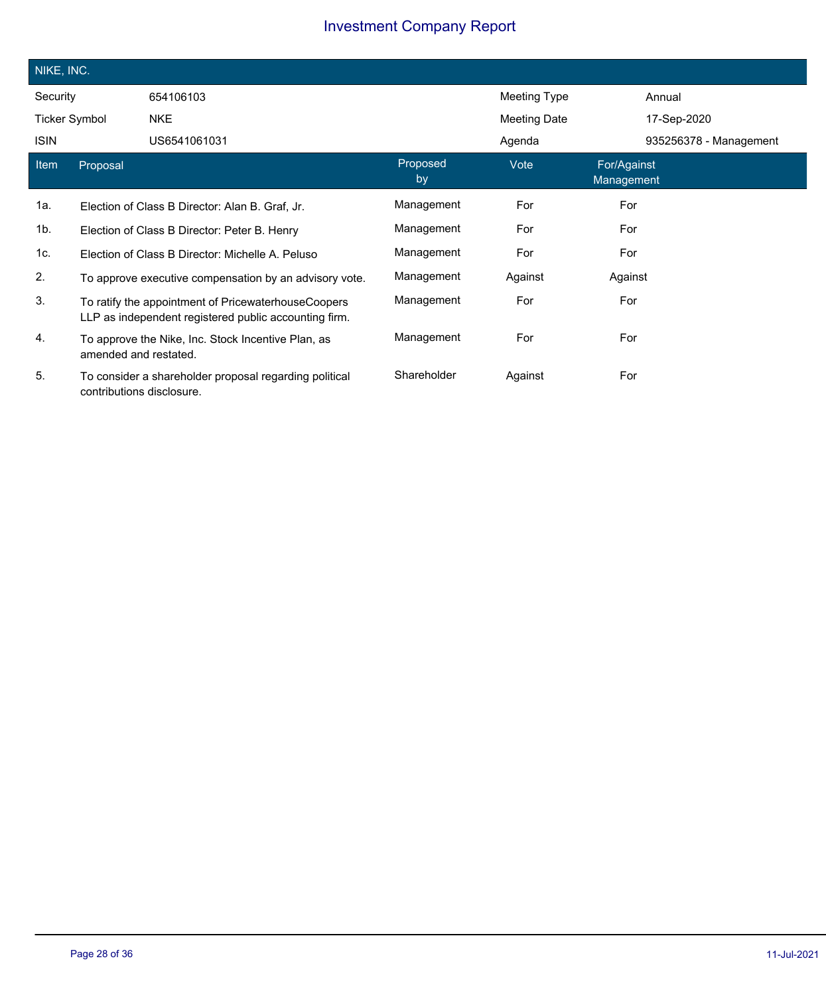| NIKE, INC.           |                           |                                                                                                              |                |                     |                                  |                        |
|----------------------|---------------------------|--------------------------------------------------------------------------------------------------------------|----------------|---------------------|----------------------------------|------------------------|
| Security             |                           | 654106103                                                                                                    |                | Meeting Type        |                                  | Annual                 |
| <b>Ticker Symbol</b> |                           | <b>NKE</b>                                                                                                   |                | <b>Meeting Date</b> |                                  | 17-Sep-2020            |
| <b>ISIN</b>          |                           | US6541061031                                                                                                 |                | Agenda              |                                  | 935256378 - Management |
| Item                 | Proposal                  |                                                                                                              | Proposed<br>by | Vote                | For/Against<br><b>Management</b> |                        |
| 1a.                  |                           | Election of Class B Director: Alan B. Graf. Jr.                                                              | Management     | For                 | For                              |                        |
| 1b.                  |                           | Election of Class B Director: Peter B. Henry                                                                 | Management     | For                 | For                              |                        |
| 1c.                  |                           | Election of Class B Director: Michelle A. Peluso                                                             | Management     | For                 | For                              |                        |
| 2.                   |                           | To approve executive compensation by an advisory vote.                                                       | Management     | Against             | Against                          |                        |
| 3.                   |                           | To ratify the appointment of PricewaterhouseCoopers<br>LLP as independent registered public accounting firm. | Management     | For                 | For                              |                        |
| 4.                   | amended and restated.     | To approve the Nike, Inc. Stock Incentive Plan, as                                                           | Management     | For                 | For                              |                        |
| 5.                   | contributions disclosure. | To consider a shareholder proposal regarding political                                                       | Shareholder    | Against             | For                              |                        |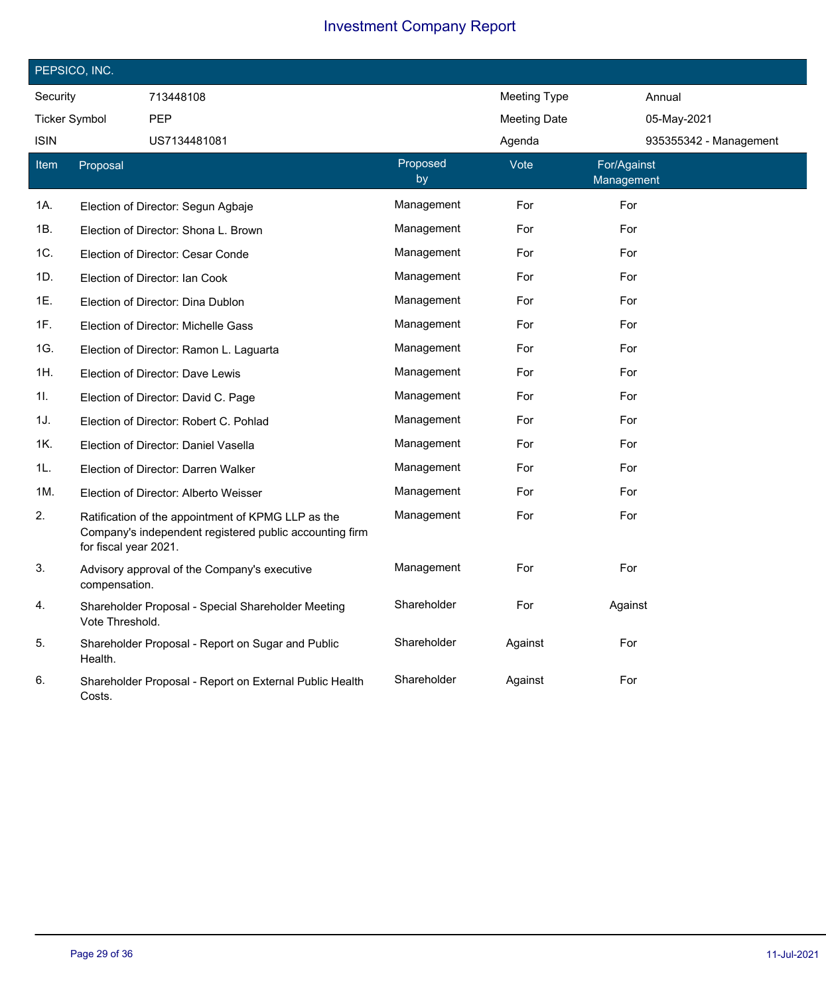| PEPSICO, INC.        |                       |                                                                                                               |                |                     |                           |  |  |  |
|----------------------|-----------------------|---------------------------------------------------------------------------------------------------------------|----------------|---------------------|---------------------------|--|--|--|
| Security             |                       | 713448108                                                                                                     |                | <b>Meeting Type</b> | Annual                    |  |  |  |
| <b>Ticker Symbol</b> |                       | <b>PEP</b>                                                                                                    |                | <b>Meeting Date</b> | 05-May-2021               |  |  |  |
| ISIN                 |                       | US7134481081                                                                                                  |                | Agenda              | 935355342 - Management    |  |  |  |
| Item                 | Proposal              |                                                                                                               | Proposed<br>by | Vote                | For/Against<br>Management |  |  |  |
| 1A.                  |                       | Election of Director: Segun Agbaje                                                                            | Management     | For                 | For                       |  |  |  |
| 1B.                  |                       | Election of Director: Shona L. Brown                                                                          | Management     | For                 | For                       |  |  |  |
| 1C.                  |                       | Election of Director: Cesar Conde                                                                             | Management     | For                 | For                       |  |  |  |
| 1D.                  |                       | Election of Director: Ian Cook                                                                                | Management     | For                 | For                       |  |  |  |
| 1E.                  |                       | Election of Director: Dina Dublon                                                                             | Management     | For                 | For                       |  |  |  |
| 1F.                  |                       | Election of Director: Michelle Gass                                                                           | Management     | For                 | For                       |  |  |  |
| 1G.                  |                       | Election of Director: Ramon L. Laguarta                                                                       | Management     | For                 | For                       |  |  |  |
| 1H.                  |                       | Election of Director: Dave Lewis                                                                              | Management     | For                 | For                       |  |  |  |
| 11.                  |                       | Election of Director: David C. Page                                                                           | Management     | For                 | For                       |  |  |  |
| 1J.                  |                       | Election of Director: Robert C. Pohlad                                                                        | Management     | For                 | For                       |  |  |  |
| 1K.                  |                       | Election of Director: Daniel Vasella                                                                          | Management     | For                 | For                       |  |  |  |
| 1L.                  |                       | Election of Director: Darren Walker                                                                           | Management     | For                 | For                       |  |  |  |
| 1M.                  |                       | Election of Director: Alberto Weisser                                                                         | Management     | For                 | For                       |  |  |  |
| 2.                   | for fiscal year 2021. | Ratification of the appointment of KPMG LLP as the<br>Company's independent registered public accounting firm | Management     | For                 | For                       |  |  |  |
| 3.                   | compensation.         | Advisory approval of the Company's executive                                                                  | Management     | For                 | For                       |  |  |  |
| 4.                   | Vote Threshold.       | Shareholder Proposal - Special Shareholder Meeting                                                            | Shareholder    | For                 | Against                   |  |  |  |
| 5.                   | Health.               | Shareholder Proposal - Report on Sugar and Public                                                             | Shareholder    | Against             | For                       |  |  |  |
| 6.                   | Costs.                | Shareholder Proposal - Report on External Public Health                                                       | Shareholder    | Against             | For                       |  |  |  |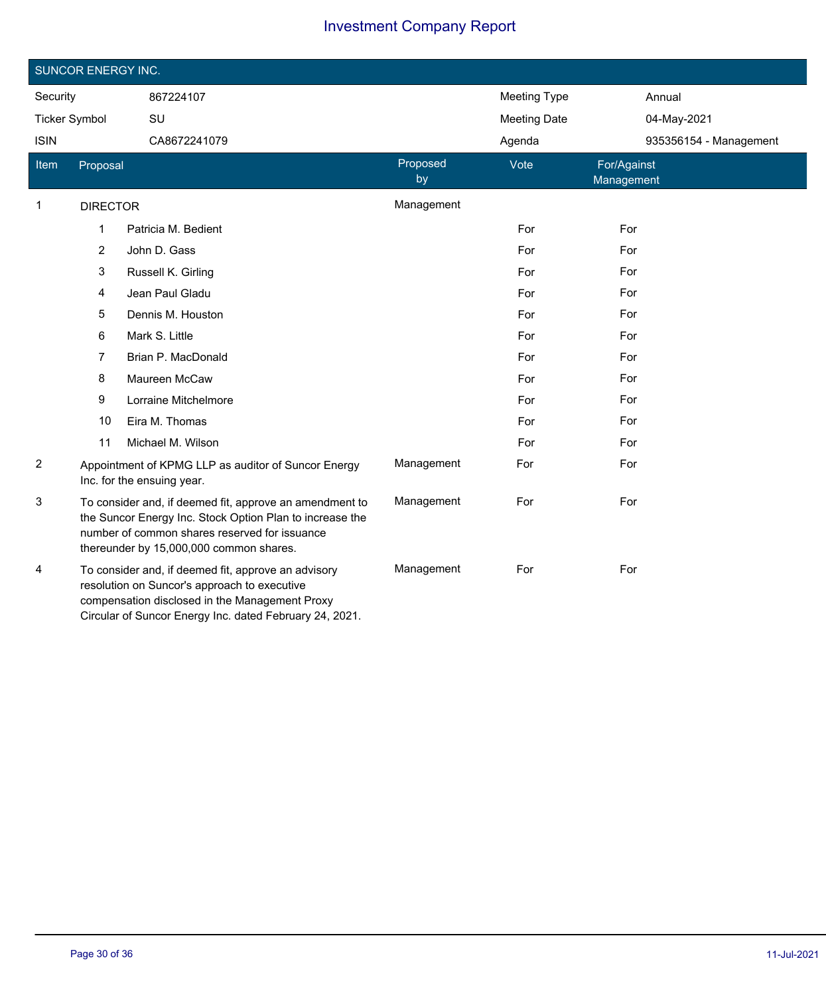|                | <b>SUNCOR ENERGY INC.</b>                                                                                                                                                                                       |                                                                                                                                                                                                                  |                |                     |                           |
|----------------|-----------------------------------------------------------------------------------------------------------------------------------------------------------------------------------------------------------------|------------------------------------------------------------------------------------------------------------------------------------------------------------------------------------------------------------------|----------------|---------------------|---------------------------|
| Security       |                                                                                                                                                                                                                 | 867224107                                                                                                                                                                                                        |                | <b>Meeting Type</b> | Annual                    |
|                | <b>Ticker Symbol</b>                                                                                                                                                                                            | SU                                                                                                                                                                                                               |                | <b>Meeting Date</b> | 04-May-2021               |
| <b>ISIN</b>    |                                                                                                                                                                                                                 | CA8672241079                                                                                                                                                                                                     |                | Agenda              | 935356154 - Management    |
| Item           | Proposal                                                                                                                                                                                                        |                                                                                                                                                                                                                  | Proposed<br>by | Vote                | For/Against<br>Management |
| 1              | <b>DIRECTOR</b>                                                                                                                                                                                                 |                                                                                                                                                                                                                  | Management     |                     |                           |
|                | 1                                                                                                                                                                                                               | Patricia M. Bedient                                                                                                                                                                                              |                | For                 | For                       |
|                | $\overline{2}$                                                                                                                                                                                                  | John D. Gass                                                                                                                                                                                                     |                | For                 | For                       |
|                | 3                                                                                                                                                                                                               | Russell K. Girling                                                                                                                                                                                               |                | For                 | For                       |
|                | 4                                                                                                                                                                                                               | Jean Paul Gladu                                                                                                                                                                                                  |                | For                 | For                       |
|                | 5                                                                                                                                                                                                               | Dennis M. Houston                                                                                                                                                                                                |                | For                 | For                       |
|                | 6                                                                                                                                                                                                               | Mark S. Little                                                                                                                                                                                                   |                | For                 | For                       |
|                | 7                                                                                                                                                                                                               | Brian P. MacDonald                                                                                                                                                                                               |                | For                 | For                       |
|                | 8                                                                                                                                                                                                               | Maureen McCaw                                                                                                                                                                                                    |                | For                 | For                       |
|                | 9                                                                                                                                                                                                               | Lorraine Mitchelmore                                                                                                                                                                                             |                | For                 | For                       |
|                | 10                                                                                                                                                                                                              | Eira M. Thomas                                                                                                                                                                                                   |                | For                 | For                       |
|                | 11                                                                                                                                                                                                              | Michael M. Wilson                                                                                                                                                                                                |                | For                 | For                       |
| $\overline{2}$ |                                                                                                                                                                                                                 | Appointment of KPMG LLP as auditor of Suncor Energy<br>Inc. for the ensuing year.                                                                                                                                | Management     | For                 | For                       |
| 3              | To consider and, if deemed fit, approve an amendment to<br>the Suncor Energy Inc. Stock Option Plan to increase the<br>number of common shares reserved for issuance<br>thereunder by 15,000,000 common shares. |                                                                                                                                                                                                                  | Management     | For                 | For                       |
| 4              |                                                                                                                                                                                                                 | To consider and, if deemed fit, approve an advisory<br>resolution on Suncor's approach to executive<br>compensation disclosed in the Management Proxy<br>Circular of Suncor Energy Inc. dated February 24, 2021. | Management     | For                 | For                       |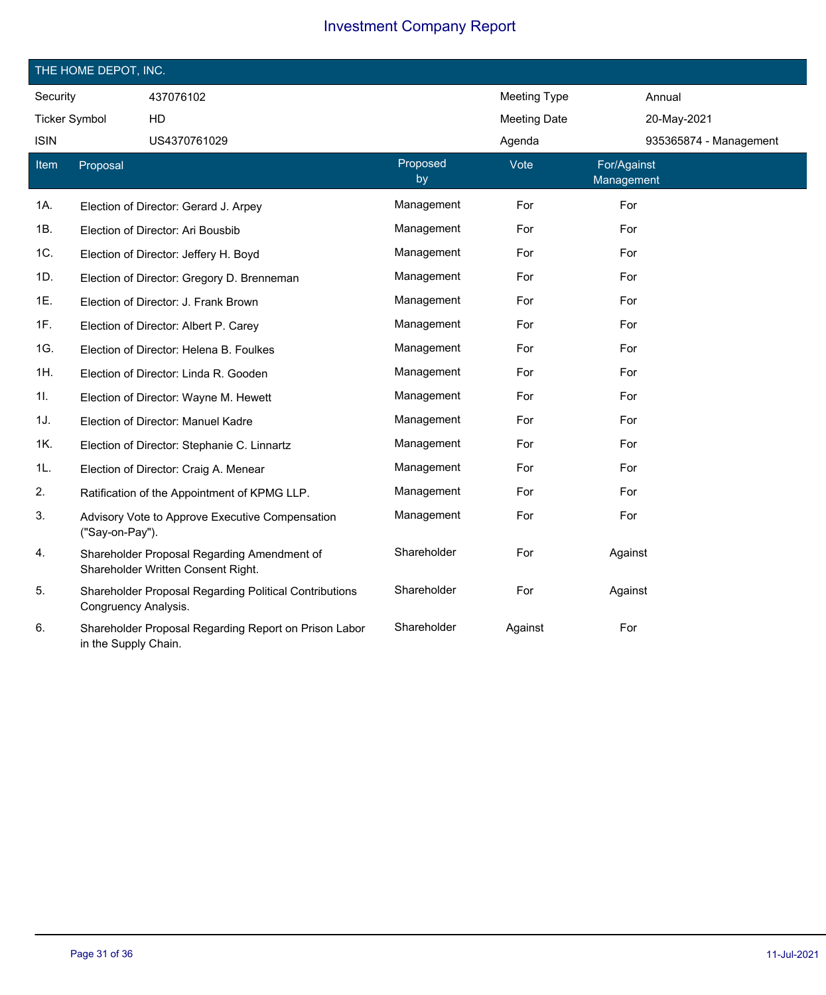| THE HOME DEPOT, INC.  |                      |                                                                                   |                     |                     |                           |                        |  |
|-----------------------|----------------------|-----------------------------------------------------------------------------------|---------------------|---------------------|---------------------------|------------------------|--|
| Security<br>437076102 |                      |                                                                                   | <b>Meeting Type</b> |                     | Annual                    |                        |  |
| <b>Ticker Symbol</b>  |                      | HD                                                                                |                     | <b>Meeting Date</b> |                           | 20-May-2021            |  |
| <b>ISIN</b>           |                      | US4370761029                                                                      |                     | Agenda              |                           | 935365874 - Management |  |
| Item                  | Proposal             |                                                                                   | Proposed<br>by      | Vote                | For/Against<br>Management |                        |  |
| 1A.                   |                      | Election of Director: Gerard J. Arpey                                             | Management          | For                 | For                       |                        |  |
| 1B.                   |                      | Election of Director: Ari Bousbib                                                 | Management          | For                 | For                       |                        |  |
| 1C.                   |                      | Election of Director: Jeffery H. Boyd                                             | Management          | For                 | For                       |                        |  |
| 1D.                   |                      | Election of Director: Gregory D. Brenneman                                        | Management          | For                 | For                       |                        |  |
| 1E.                   |                      | Election of Director: J. Frank Brown                                              | Management          | For                 | For                       |                        |  |
| 1F.                   |                      | Election of Director: Albert P. Carey                                             | Management          | For                 | For                       |                        |  |
| 1G.                   |                      | Election of Director: Helena B. Foulkes                                           | Management          | For                 | For                       |                        |  |
| 1H.                   |                      | Election of Director: Linda R. Gooden                                             | Management          | For                 | For                       |                        |  |
| 1I.                   |                      | Election of Director: Wayne M. Hewett                                             | Management          | For                 | For                       |                        |  |
| 1J.                   |                      | Election of Director: Manuel Kadre                                                | Management          | For                 | For                       |                        |  |
| 1K.                   |                      | Election of Director: Stephanie C. Linnartz                                       | Management          | For                 | For                       |                        |  |
| 1L.                   |                      | Election of Director: Craig A. Menear                                             | Management          | For                 | For                       |                        |  |
| 2.                    |                      | Ratification of the Appointment of KPMG LLP.                                      | Management          | For                 | For                       |                        |  |
| 3.                    | ("Say-on-Pay").      | Advisory Vote to Approve Executive Compensation                                   | Management          | For                 | For                       |                        |  |
| 4.                    |                      | Shareholder Proposal Regarding Amendment of<br>Shareholder Written Consent Right. | Shareholder         | For                 | Against                   |                        |  |
| 5.                    | Congruency Analysis. | Shareholder Proposal Regarding Political Contributions                            | Shareholder         | For                 | Against                   |                        |  |
| 6.                    | in the Supply Chain. | Shareholder Proposal Regarding Report on Prison Labor                             | Shareholder         | Against             | For                       |                        |  |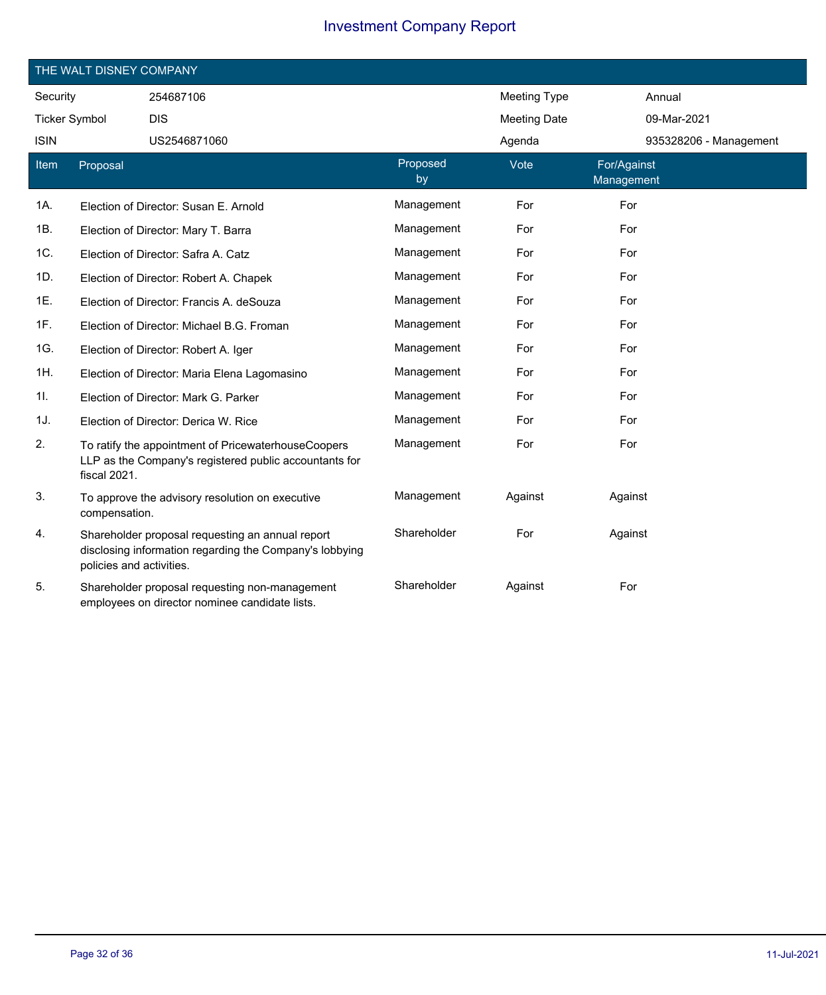|                      | THE WALT DISNEY COMPANY  |                                                                                                               |                |                     |                           |
|----------------------|--------------------------|---------------------------------------------------------------------------------------------------------------|----------------|---------------------|---------------------------|
| Security             |                          | 254687106                                                                                                     |                | <b>Meeting Type</b> | Annual                    |
| <b>Ticker Symbol</b> |                          | <b>DIS</b>                                                                                                    |                | <b>Meeting Date</b> | 09-Mar-2021               |
| <b>ISIN</b>          |                          | US2546871060                                                                                                  |                | Agenda              | 935328206 - Management    |
| Item                 | Proposal                 |                                                                                                               | Proposed<br>by | Vote                | For/Against<br>Management |
| 1A.                  |                          | Election of Director: Susan E. Arnold                                                                         | Management     | For                 | For                       |
| 1B.                  |                          | Election of Director: Mary T. Barra                                                                           | Management     | For                 | For                       |
| 1C.                  |                          | Election of Director: Safra A. Catz                                                                           | Management     | For                 | For                       |
| 1D.                  |                          | Election of Director: Robert A. Chapek                                                                        | Management     | For                 | For                       |
| 1E.                  |                          | Election of Director: Francis A. deSouza                                                                      | Management     | For                 | For                       |
| 1F.                  |                          | Election of Director: Michael B.G. Froman                                                                     | Management     | For                 | For                       |
| 1G.                  |                          | Election of Director: Robert A. Iger                                                                          | Management     | For                 | For                       |
| 1H.                  |                          | Election of Director: Maria Elena Lagomasino                                                                  | Management     | For                 | For                       |
| 11.                  |                          | Election of Director: Mark G. Parker                                                                          | Management     | For                 | For                       |
| 1J.                  |                          | Election of Director: Derica W. Rice                                                                          | Management     | For                 | For                       |
| 2.                   | fiscal 2021.             | To ratify the appointment of PricewaterhouseCoopers<br>LLP as the Company's registered public accountants for | Management     | For                 | For                       |
| 3.                   | compensation.            | To approve the advisory resolution on executive                                                               | Management     | Against             | Against                   |
| 4.                   | policies and activities. | Shareholder proposal requesting an annual report<br>disclosing information regarding the Company's lobbying   | Shareholder    | For                 | Against                   |
| 5.                   |                          | Shareholder proposal requesting non-management<br>employees on director nominee candidate lists.              | Shareholder    | Against             | For                       |

 $\overline{\phantom{a}}$ 

 $\overline{\phantom{a}}$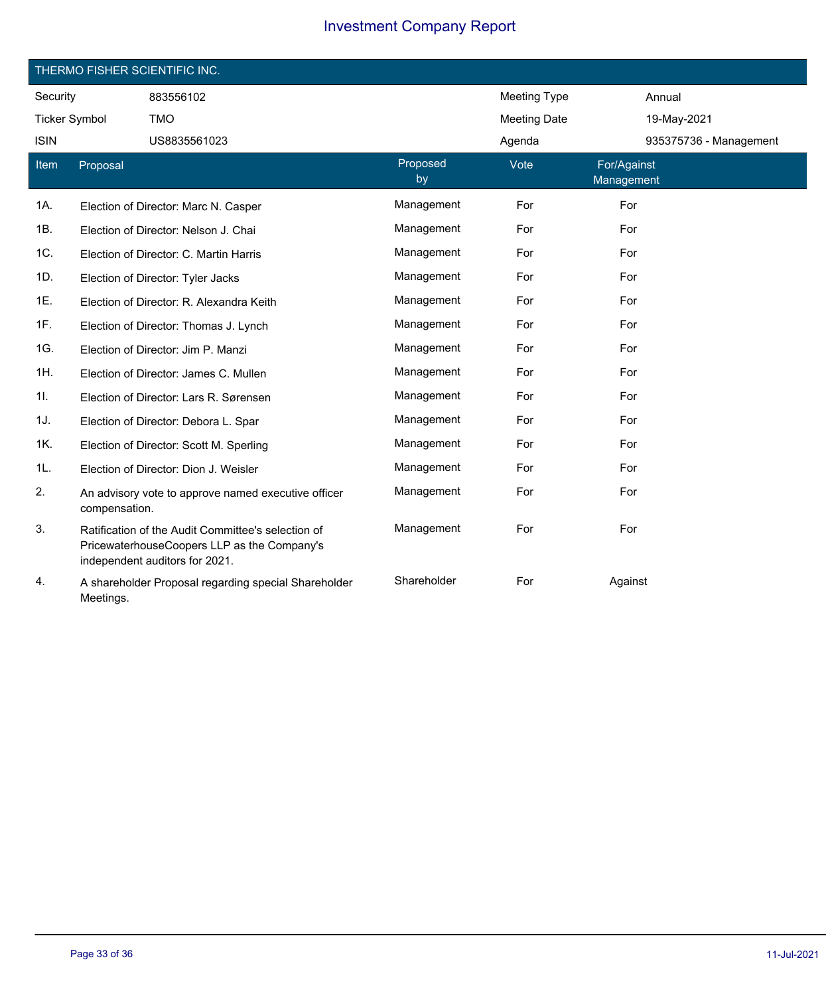|                      |               | THERMO FISHER SCIENTIFIC INC.                                                                                                       |                |                     |                           |
|----------------------|---------------|-------------------------------------------------------------------------------------------------------------------------------------|----------------|---------------------|---------------------------|
| Security             |               | 883556102                                                                                                                           |                | <b>Meeting Type</b> | Annual                    |
| <b>Ticker Symbol</b> |               | <b>TMO</b>                                                                                                                          |                | <b>Meeting Date</b> | 19-May-2021               |
| <b>ISIN</b>          |               | US8835561023                                                                                                                        |                | Agenda              | 935375736 - Management    |
| Item                 | Proposal      |                                                                                                                                     | Proposed<br>by | Vote                | For/Against<br>Management |
| 1A.                  |               | Election of Director: Marc N. Casper                                                                                                | Management     | For                 | For                       |
| 1B.                  |               | Election of Director: Nelson J. Chai                                                                                                | Management     | For                 | For                       |
| 1C.                  |               | Election of Director: C. Martin Harris                                                                                              | Management     | For                 | For                       |
| 1D.                  |               | Election of Director: Tyler Jacks                                                                                                   | Management     | For                 | For                       |
| 1E.                  |               | Election of Director: R. Alexandra Keith                                                                                            | Management     | For                 | For                       |
| 1F.                  |               | Election of Director: Thomas J. Lynch                                                                                               | Management     | For                 | For                       |
| 1G.                  |               | Election of Director: Jim P. Manzi                                                                                                  | Management     | For                 | For                       |
| 1H.                  |               | Election of Director: James C. Mullen                                                                                               | Management     | For                 | For                       |
| 11.                  |               | Election of Director: Lars R. Sørensen                                                                                              | Management     | For                 | For                       |
| 1J.                  |               | Election of Director: Debora L. Spar                                                                                                | Management     | For                 | For                       |
| 1K.                  |               | Election of Director: Scott M. Sperling                                                                                             | Management     | For                 | For                       |
| 1L.                  |               | Election of Director: Dion J. Weisler                                                                                               | Management     | For                 | For                       |
| 2.                   | compensation. | An advisory vote to approve named executive officer                                                                                 | Management     | For                 | For                       |
| 3.                   |               | Ratification of the Audit Committee's selection of<br>PricewaterhouseCoopers LLP as the Company's<br>independent auditors for 2021. | Management     | For                 | For                       |
| 4.                   | Meetings.     | A shareholder Proposal regarding special Shareholder                                                                                | Shareholder    | For                 | Against                   |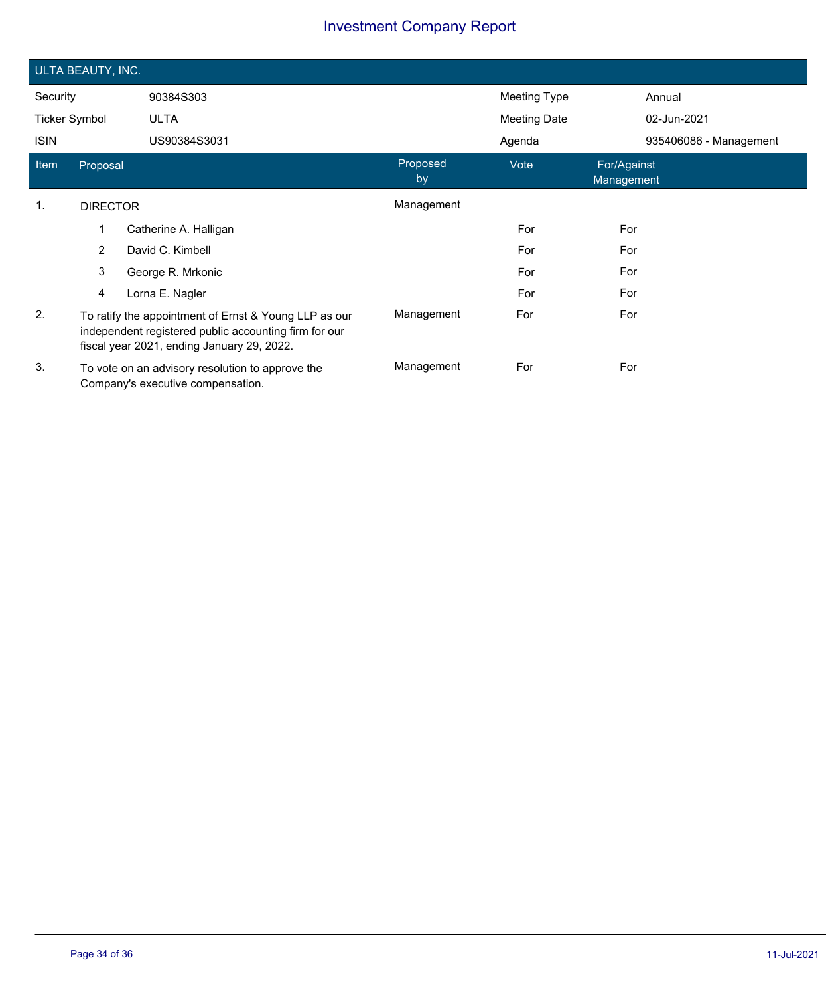| ULTA BEAUTY, INC.    |                                                                                                                                                              |                                                                                       |                |              |                           |  |  |
|----------------------|--------------------------------------------------------------------------------------------------------------------------------------------------------------|---------------------------------------------------------------------------------------|----------------|--------------|---------------------------|--|--|
| Security             |                                                                                                                                                              | 90384S303                                                                             |                | Meeting Type | Annual                    |  |  |
| <b>Ticker Symbol</b> |                                                                                                                                                              | <b>ULTA</b>                                                                           |                | Meeting Date | 02-Jun-2021               |  |  |
| <b>ISIN</b>          |                                                                                                                                                              | US90384S3031                                                                          |                | Agenda       | 935406086 - Management    |  |  |
| Item                 | Proposal                                                                                                                                                     |                                                                                       | Proposed<br>by | Vote         | For/Against<br>Management |  |  |
| $\mathbf{1}$ .       | <b>DIRECTOR</b>                                                                                                                                              |                                                                                       | Management     |              |                           |  |  |
|                      | 1                                                                                                                                                            | Catherine A. Halligan                                                                 |                | For          | For                       |  |  |
|                      | $\overline{2}$                                                                                                                                               | David C. Kimbell                                                                      |                | For          | For                       |  |  |
|                      | 3                                                                                                                                                            | George R. Mrkonic                                                                     |                | For          | For                       |  |  |
|                      | 4                                                                                                                                                            | Lorna E. Nagler                                                                       |                | For          | For                       |  |  |
| 2.                   | To ratify the appointment of Ernst & Young LLP as our<br>independent registered public accounting firm for our<br>fiscal year 2021, ending January 29, 2022. |                                                                                       | Management     | For          | For                       |  |  |
| 3.                   |                                                                                                                                                              | To vote on an advisory resolution to approve the<br>Company's executive compensation. | Management     | For          | For                       |  |  |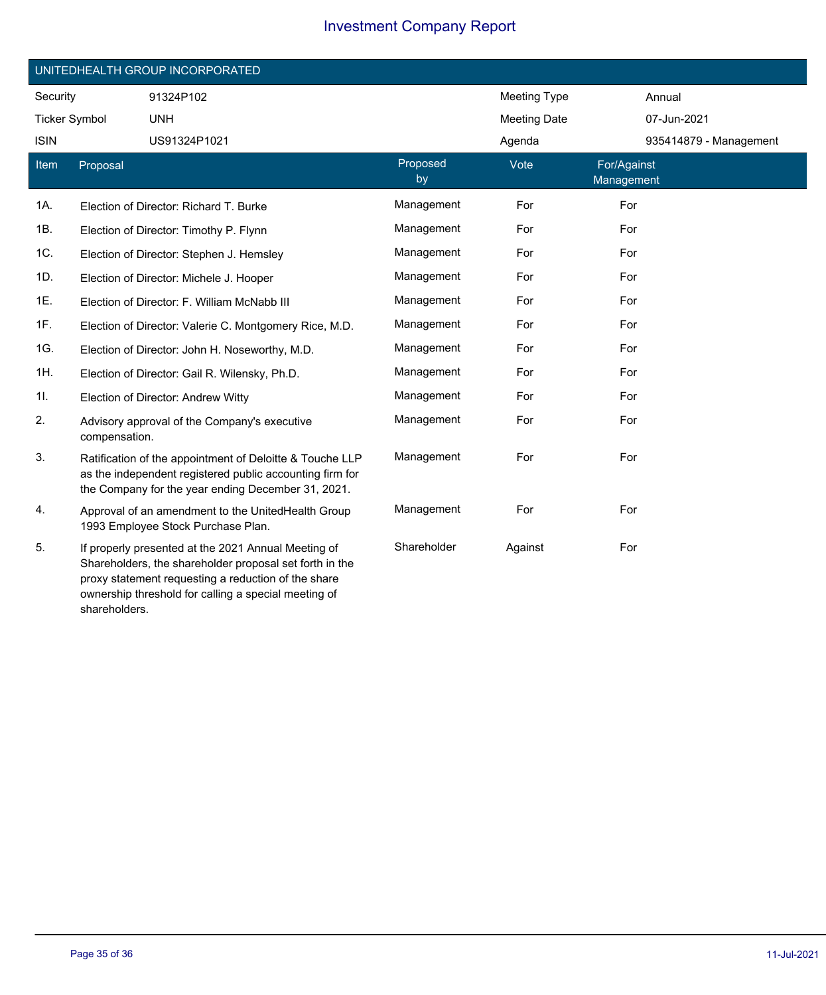|                      |               | UNITEDHEALTH GROUP INCORPORATED                                                                                                                                                                                               |                |                     |                           |
|----------------------|---------------|-------------------------------------------------------------------------------------------------------------------------------------------------------------------------------------------------------------------------------|----------------|---------------------|---------------------------|
| Security             |               | 91324P102                                                                                                                                                                                                                     |                | <b>Meeting Type</b> | Annual                    |
| <b>Ticker Symbol</b> |               | <b>UNH</b>                                                                                                                                                                                                                    |                | <b>Meeting Date</b> | 07-Jun-2021               |
| <b>ISIN</b>          |               | US91324P1021                                                                                                                                                                                                                  |                | Agenda              | 935414879 - Management    |
| Item                 | Proposal      |                                                                                                                                                                                                                               | Proposed<br>by | Vote                | For/Against<br>Management |
| 1A.                  |               | Election of Director: Richard T. Burke                                                                                                                                                                                        | Management     | For                 | For                       |
| 1B.                  |               | Election of Director: Timothy P. Flynn                                                                                                                                                                                        | Management     | For                 | For                       |
| 1C.                  |               | Election of Director: Stephen J. Hemsley                                                                                                                                                                                      | Management     | For                 | For                       |
| 1D.                  |               | Election of Director: Michele J. Hooper                                                                                                                                                                                       | Management     | For                 | For                       |
| 1E.                  |               | Election of Director: F. William McNabb III                                                                                                                                                                                   | Management     | For                 | For                       |
| 1F.                  |               | Election of Director: Valerie C. Montgomery Rice, M.D.                                                                                                                                                                        | Management     | For                 | For                       |
| 1G.                  |               | Election of Director: John H. Noseworthy, M.D.                                                                                                                                                                                | Management     | For                 | For                       |
| 1H.                  |               | Election of Director: Gail R. Wilensky, Ph.D.                                                                                                                                                                                 | Management     | For                 | For                       |
| 11.                  |               | Election of Director: Andrew Witty                                                                                                                                                                                            | Management     | For                 | For                       |
| 2.                   | compensation. | Advisory approval of the Company's executive                                                                                                                                                                                  | Management     | For                 | For                       |
| 3.                   |               | Ratification of the appointment of Deloitte & Touche LLP<br>as the independent registered public accounting firm for<br>the Company for the year ending December 31, 2021.                                                    | Management     | For                 | For                       |
| 4.                   |               | Approval of an amendment to the UnitedHealth Group<br>1993 Employee Stock Purchase Plan.                                                                                                                                      | Management     | For                 | For                       |
| 5.                   |               | If properly presented at the 2021 Annual Meeting of<br>Shareholders, the shareholder proposal set forth in the<br>proxy statement requesting a reduction of the share<br>ownership threshold for calling a special meeting of | Shareholder    | Against             | For                       |

shareholders.